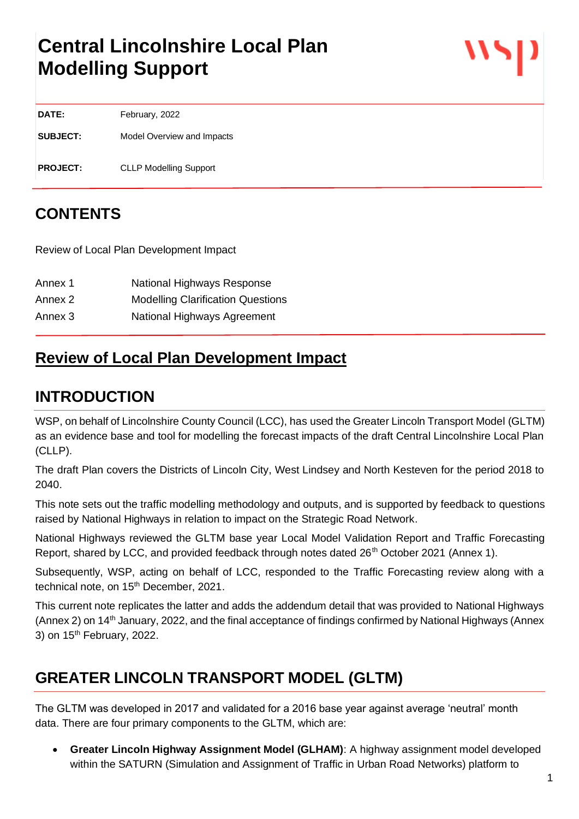# **Central Lincolnshire Local Plan Modelling Support**

**DATE:** February, 2022

**SUBJECT:** Model Overview and Impacts

**PROJECT:** CLLP Modelling Support

# **CONTENTS**

Review of Local Plan Development Impact

| Annex 1 | National Highways Response               |
|---------|------------------------------------------|
| Annex 2 | <b>Modelling Clarification Questions</b> |
| Annex 3 | National Highways Agreement              |

# **Review of Local Plan Development Impact**

# **INTRODUCTION**

WSP, on behalf of Lincolnshire County Council (LCC), has used the Greater Lincoln Transport Model (GLTM) as an evidence base and tool for modelling the forecast impacts of the draft Central Lincolnshire Local Plan (CLLP).

The draft Plan covers the Districts of Lincoln City, West Lindsey and North Kesteven for the period 2018 to 2040.

This note sets out the traffic modelling methodology and outputs, and is supported by feedback to questions raised by National Highways in relation to impact on the Strategic Road Network.

National Highways reviewed the GLTM base year Local Model Validation Report and Traffic Forecasting Report, shared by LCC, and provided feedback through notes dated 26<sup>th</sup> October 2021 (Annex 1).

Subsequently, WSP, acting on behalf of LCC, responded to the Traffic Forecasting review along with a technical note, on 15<sup>th</sup> December, 2021.

This current note replicates the latter and adds the addendum detail that was provided to National Highways (Annex 2) on 14th January, 2022, and the final acceptance of findings confirmed by National Highways (Annex 3) on 15<sup>th</sup> February, 2022.

# **GREATER LINCOLN TRANSPORT MODEL (GLTM)**

The GLTM was developed in 2017 and validated for a 2016 base year against average 'neutral' month data. There are four primary components to the GLTM, which are:

• **Greater Lincoln Highway Assignment Model (GLHAM)**: A highway assignment model developed within the SATURN (Simulation and Assignment of Traffic in Urban Road Networks) platform to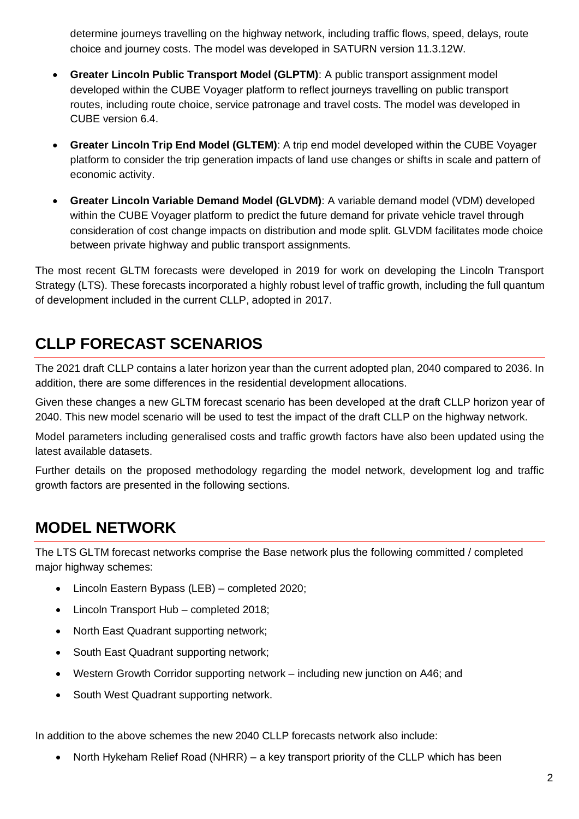determine journeys travelling on the highway network, including traffic flows, speed, delays, route choice and journey costs. The model was developed in SATURN version 11.3.12W.

- **Greater Lincoln Public Transport Model (GLPTM)**: A public transport assignment model developed within the CUBE Voyager platform to reflect journeys travelling on public transport routes, including route choice, service patronage and travel costs. The model was developed in CUBE version 6.4.
- **Greater Lincoln Trip End Model (GLTEM)**: A trip end model developed within the CUBE Voyager platform to consider the trip generation impacts of land use changes or shifts in scale and pattern of economic activity.
- **Greater Lincoln Variable Demand Model (GLVDM)**: A variable demand model (VDM) developed within the CUBE Voyager platform to predict the future demand for private vehicle travel through consideration of cost change impacts on distribution and mode split. GLVDM facilitates mode choice between private highway and public transport assignments.

The most recent GLTM forecasts were developed in 2019 for work on developing the Lincoln Transport Strategy (LTS). These forecasts incorporated a highly robust level of traffic growth, including the full quantum of development included in the current CLLP, adopted in 2017.

# **CLLP FORECAST SCENARIOS**

The 2021 draft CLLP contains a later horizon year than the current adopted plan, 2040 compared to 2036. In addition, there are some differences in the residential development allocations.

Given these changes a new GLTM forecast scenario has been developed at the draft CLLP horizon year of 2040. This new model scenario will be used to test the impact of the draft CLLP on the highway network.

Model parameters including generalised costs and traffic growth factors have also been updated using the latest available datasets.

Further details on the proposed methodology regarding the model network, development log and traffic growth factors are presented in the following sections.

# **MODEL NETWORK**

The LTS GLTM forecast networks comprise the Base network plus the following committed / completed major highway schemes:

- Lincoln Eastern Bypass (LEB) completed 2020;
- Lincoln Transport Hub completed 2018;
- North East Quadrant supporting network;
- South East Quadrant supporting network;
- Western Growth Corridor supporting network including new junction on A46; and
- South West Quadrant supporting network.

In addition to the above schemes the new 2040 CLLP forecasts network also include:

• North Hykeham Relief Road (NHRR) – a key transport priority of the CLLP which has been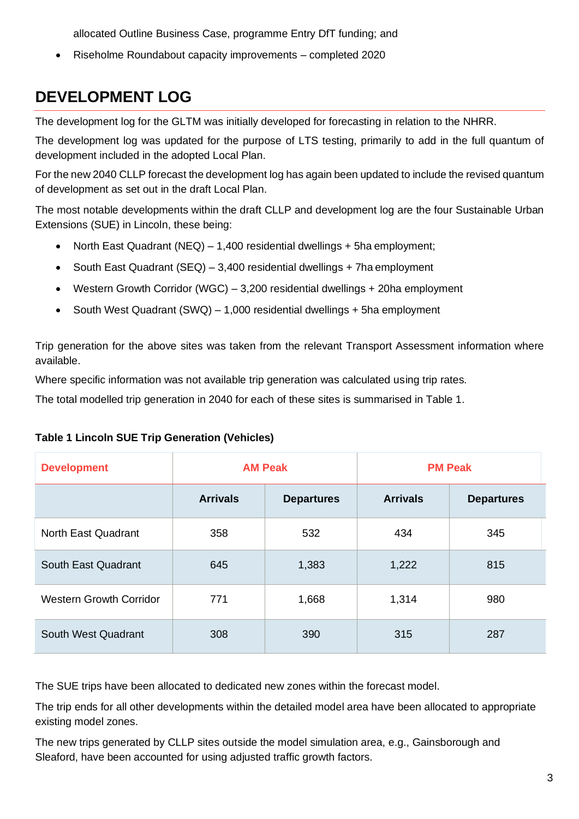allocated Outline Business Case, programme Entry DfT funding; and

• Riseholme Roundabout capacity improvements – completed 2020

# **DEVELOPMENT LOG**

The development log for the GLTM was initially developed for forecasting in relation to the NHRR.

The development log was updated for the purpose of LTS testing, primarily to add in the full quantum of development included in the adopted Local Plan.

For the new 2040 CLLP forecast the development log has again been updated to include the revised quantum of development as set out in the draft Local Plan.

The most notable developments within the draft CLLP and development log are the four Sustainable Urban Extensions (SUE) in Lincoln, these being:

- North East Quadrant (NEQ) 1,400 residential dwellings + 5ha employment;
- South East Quadrant (SEQ) 3,400 residential dwellings + 7ha employment
- Western Growth Corridor (WGC) 3,200 residential dwellings + 20ha employment
- South West Quadrant (SWQ) 1,000 residential dwellings + 5ha employment

Trip generation for the above sites was taken from the relevant Transport Assessment information where available.

Where specific information was not available trip generation was calculated using trip rates.

The total modelled trip generation in 2040 for each of these sites is summarised in Table 1.

### **Table 1 Lincoln SUE Trip Generation (Vehicles)**

| <b>Development</b>             | <b>AM Peak</b>  |                   | <b>PM Peak</b>  |                   |
|--------------------------------|-----------------|-------------------|-----------------|-------------------|
|                                | <b>Arrivals</b> | <b>Departures</b> | <b>Arrivals</b> | <b>Departures</b> |
| North East Quadrant            | 358             | 532               | 434             | 345               |
| South East Quadrant            | 645             | 1,383             | 1,222           | 815               |
| <b>Western Growth Corridor</b> | 771             | 1,668             | 1,314           | 980               |
| South West Quadrant            | 308             | 390               | 315             | 287               |

The SUE trips have been allocated to dedicated new zones within the forecast model.

The trip ends for all other developments within the detailed model area have been allocated to appropriate existing model zones.

The new trips generated by CLLP sites outside the model simulation area, e.g., Gainsborough and Sleaford, have been accounted for using adjusted traffic growth factors.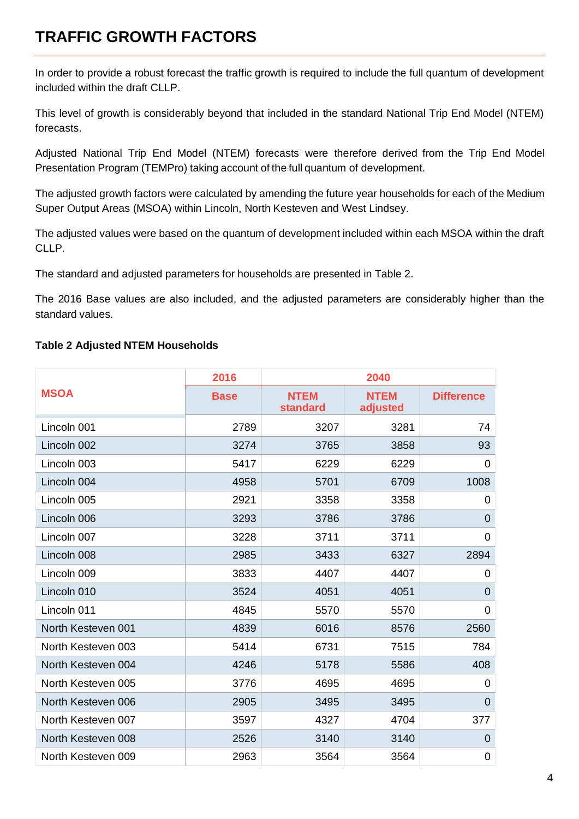# **TRAFFIC GROWTH FACTORS**

In order to provide a robust forecast the traffic growth is required to include the full quantum of development included within the draft CLLP.

This level of growth is considerably beyond that included in the standard National Trip End Model (NTEM) forecasts.

Adjusted National Trip End Model (NTEM) forecasts were therefore derived from the Trip End Model Presentation Program (TEMPro) taking account of the full quantum of development.

The adjusted growth factors were calculated by amending the future year households for each of the Medium Super Output Areas (MSOA) within Lincoln, North Kesteven and West Lindsey.

The adjusted values were based on the quantum of development included within each MSOA within the draft CLLP.

The standard and adjusted parameters for households are presented in Table 2.

The 2016 Base values are also included, and the adjusted parameters are considerably higher than the standard values.

### **Table 2 Adjusted NTEM Households**

|                    | 2016        |                         | 2040                    |                   |
|--------------------|-------------|-------------------------|-------------------------|-------------------|
| <b>MSOA</b>        | <b>Base</b> | <b>NTEM</b><br>standard | <b>NTEM</b><br>adjusted | <b>Difference</b> |
| Lincoln 001        | 2789        | 3207                    | 3281                    | 74                |
| Lincoln 002        | 3274        | 3765                    | 3858                    | 93                |
| Lincoln 003        | 5417        | 6229                    | 6229                    | $\mathbf 0$       |
| Lincoln 004        | 4958        | 5701                    | 6709                    | 1008              |
| Lincoln 005        | 2921        | 3358                    | 3358                    | 0                 |
| Lincoln 006        | 3293        | 3786                    | 3786                    | $\overline{0}$    |
| Lincoln 007        | 3228        | 3711                    | 3711                    | $\overline{0}$    |
| Lincoln 008        | 2985        | 3433                    | 6327                    | 2894              |
| Lincoln 009        | 3833        | 4407                    | 4407                    | 0                 |
| Lincoln 010        | 3524        | 4051                    | 4051                    | $\Omega$          |
| Lincoln 011        | 4845        | 5570                    | 5570                    | $\mathbf 0$       |
| North Kesteven 001 | 4839        | 6016                    | 8576                    | 2560              |
| North Kesteven 003 | 5414        | 6731                    | 7515                    | 784               |
| North Kesteven 004 | 4246        | 5178                    | 5586                    | 408               |
| North Kesteven 005 | 3776        | 4695                    | 4695                    | 0                 |
| North Kesteven 006 | 2905        | 3495                    | 3495                    | $\overline{0}$    |
| North Kesteven 007 | 3597        | 4327                    | 4704                    | 377               |
| North Kesteven 008 | 2526        | 3140                    | 3140                    | $\mathbf 0$       |
| North Kesteven 009 | 2963        | 3564                    | 3564                    | $\overline{0}$    |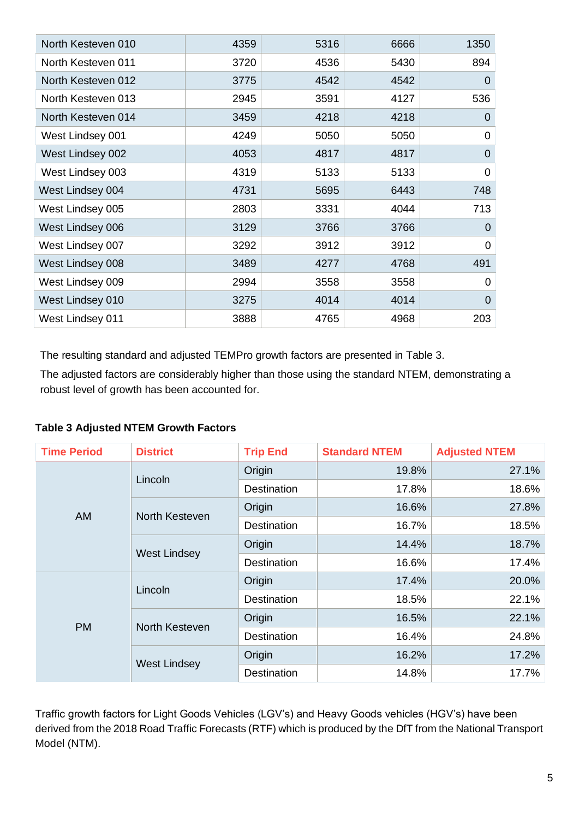| North Kesteven 010 | 4359 | 5316 | 6666 | 1350           |
|--------------------|------|------|------|----------------|
| North Kesteven 011 | 3720 | 4536 | 5430 | 894            |
| North Kesteven 012 | 3775 | 4542 | 4542 | 0              |
| North Kesteven 013 | 2945 | 3591 | 4127 | 536            |
| North Kesteven 014 | 3459 | 4218 | 4218 | 0              |
| West Lindsey 001   | 4249 | 5050 | 5050 | $\overline{0}$ |
| West Lindsey 002   | 4053 | 4817 | 4817 | $\mathbf 0$    |
| West Lindsey 003   | 4319 | 5133 | 5133 | $\mathbf 0$    |
| West Lindsey 004   | 4731 | 5695 | 6443 | 748            |
| West Lindsey 005   | 2803 | 3331 | 4044 | 713            |
| West Lindsey 006   | 3129 | 3766 | 3766 | $\Omega$       |
| West Lindsey 007   | 3292 | 3912 | 3912 | 0              |
| West Lindsey 008   | 3489 | 4277 | 4768 | 491            |
| West Lindsey 009   | 2994 | 3558 | 3558 | 0              |
| West Lindsey 010   | 3275 | 4014 | 4014 | $\overline{0}$ |
| West Lindsey 011   | 3888 | 4765 | 4968 | 203            |

The resulting standard and adjusted TEMPro growth factors are presented in Table 3.

The adjusted factors are considerably higher than those using the standard NTEM, demonstrating a robust level of growth has been accounted for.

**Table 3 Adjusted NTEM Growth Factors**

| <b>Time Period</b> | <b>District</b>     | <b>Trip End</b>    | <b>Standard NTEM</b> | <b>Adjusted NTEM</b> |
|--------------------|---------------------|--------------------|----------------------|----------------------|
|                    | Lincoln             | Origin             | 19.8%                | 27.1%                |
|                    |                     | <b>Destination</b> | 17.8%                | 18.6%                |
| <b>AM</b>          | North Kesteven      | Origin             | 16.6%                | 27.8%                |
|                    |                     | <b>Destination</b> | 16.7%                | 18.5%                |
|                    | <b>West Lindsey</b> | Origin             | 14.4%                | 18.7%                |
|                    |                     | <b>Destination</b> | 16.6%                | 17.4%                |
|                    | Lincoln             | Origin             | 17.4%                | 20.0%                |
|                    |                     | <b>Destination</b> | 18.5%                | 22.1%                |
| <b>PM</b>          | North Kesteven      | Origin             | 16.5%                | 22.1%                |
|                    |                     | <b>Destination</b> | 16.4%                | 24.8%                |
|                    |                     | Origin             | 16.2%                | 17.2%                |
|                    | <b>West Lindsey</b> | Destination        | 14.8%                | 17.7%                |

Traffic growth factors for Light Goods Vehicles (LGV's) and Heavy Goods vehicles (HGV's) have been derived from the 2018 Road Traffic Forecasts (RTF) which is produced by the DfT from the National Transport Model (NTM).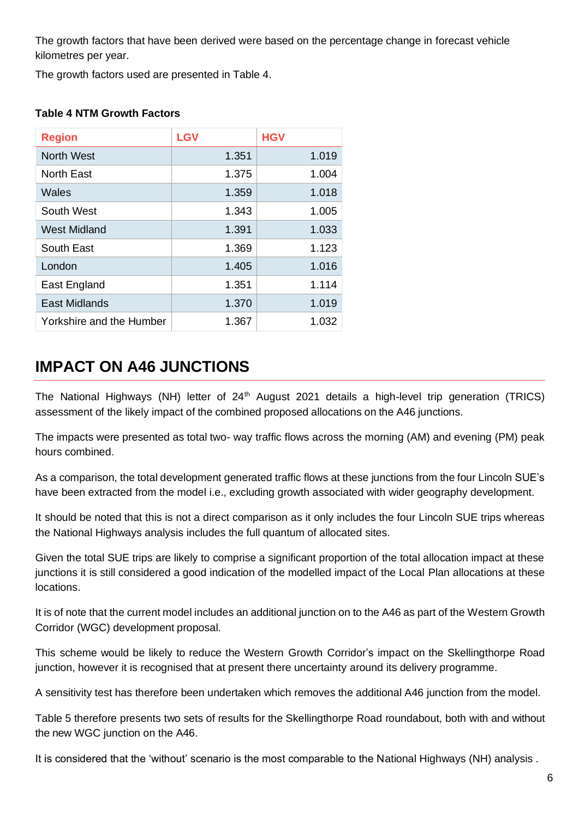The growth factors that have been derived were based on the percentage change in forecast vehicle kilometres per year.

The growth factors used are presented in Table 4.

| <b>Region</b>            | <b>LGV</b> | <b>HGV</b> |
|--------------------------|------------|------------|
| <b>North West</b>        | 1.351      | 1.019      |
| North East               | 1.375      | 1.004      |
| Wales                    | 1.359      | 1.018      |
| South West               | 1.343      | 1.005      |
| West Midland             | 1.391      | 1.033      |
| South East               | 1.369      | 1.123      |
| London                   | 1.405      | 1.016      |
| East England             | 1.351      | 1.114      |
| <b>East Midlands</b>     | 1.370      | 1.019      |
| Yorkshire and the Humber | 1.367      | 1.032      |

# **IMPACT ON A46 JUNCTIONS**

The National Highways (NH) letter of 24<sup>th</sup> August 2021 details a high-level trip generation (TRICS) assessment of the likely impact of the combined proposed allocations on the A46 junctions.

The impacts were presented as total two- way traffic flows across the morning (AM) and evening (PM) peak hours combined.

As a comparison, the total development generated traffic flows at these junctions from the four Lincoln SUE's have been extracted from the model i.e., excluding growth associated with wider geography development.

It should be noted that this is not a direct comparison as it only includes the four Lincoln SUE trips whereas the National Highways analysis includes the full quantum of allocated sites.

Given the total SUE trips are likely to comprise a significant proportion of the total allocation impact at these junctions it is still considered a good indication of the modelled impact of the Local Plan allocations at these locations.

It is of note that the current model includes an additional junction on to the A46 as part of the Western Growth Corridor (WGC) development proposal.

This scheme would be likely to reduce the Western Growth Corridor's impact on the Skellingthorpe Road junction, however it is recognised that at present there uncertainty around its delivery programme.

A sensitivity test has therefore been undertaken which removes the additional A46 junction from the model.

Table 5 therefore presents two sets of results for the Skellingthorpe Road roundabout, both with and without the new WGC junction on the A46.

It is considered that the 'without' scenario is the most comparable to the National Highways (NH) analysis .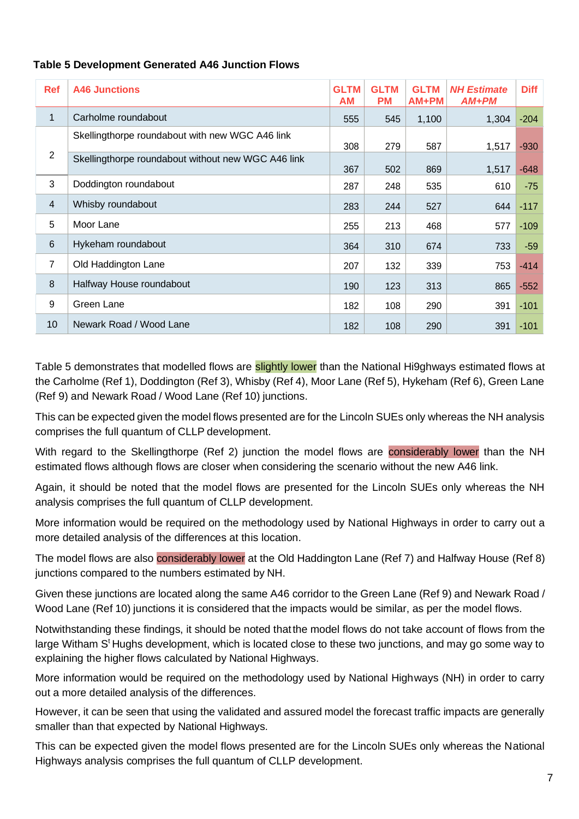### **Table 5 Development Generated A46 Junction Flows**

| <b>Ref</b>     | <b>A46 Junctions</b>                               | <b>GLTM</b><br>AM | <b>GLTM</b><br><b>PM</b> | <b>GLTM</b><br>$AM+PM$ | <b>NH Estimate</b><br>$AM+PM$ | <b>Diff</b> |
|----------------|----------------------------------------------------|-------------------|--------------------------|------------------------|-------------------------------|-------------|
| 1              | Carholme roundabout                                | 555               | 545                      | 1,100                  | 1,304                         | $-204$      |
|                | Skellingthorpe roundabout with new WGC A46 link    | 308               | 279                      | 587                    | 1,517                         | $-930$      |
| $\overline{2}$ | Skellingthorpe roundabout without new WGC A46 link | 367               | 502                      | 869                    | 1,517                         | $-648$      |
| 3              | Doddington roundabout                              | 287               | 248                      | 535                    | 610                           | $-75$       |
| $\overline{4}$ | Whisby roundabout                                  | 283               | 244                      | 527                    | 644                           | $-117$      |
| 5              | Moor Lane                                          | 255               | 213                      | 468                    | 577                           | $-109$      |
| $6\phantom{1}$ | Hykeham roundabout                                 | 364               | 310                      | 674                    | 733                           | $-59$       |
| $\overline{7}$ | Old Haddington Lane                                | 207               | 132                      | 339                    | 753                           | $-414$      |
| 8              | Halfway House roundabout                           | 190               | 123                      | 313                    | 865                           | $-552$      |
| 9              | Green Lane                                         | 182               | 108                      | 290                    | 391                           | $-101$      |
| 10             | Newark Road / Wood Lane                            | 182               | 108                      | 290                    | 391                           | $-101$      |

Table 5 demonstrates that modelled flows are slightly lower than the National Hi9ghways estimated flows at the Carholme (Ref 1), Doddington (Ref 3), Whisby (Ref 4), Moor Lane (Ref 5), Hykeham (Ref 6), Green Lane (Ref 9) and Newark Road / Wood Lane (Ref 10) junctions.

This can be expected given the model flows presented are for the Lincoln SUEs only whereas the NH analysis comprises the full quantum of CLLP development.

With regard to the Skellingthorpe (Ref 2) junction the model flows are considerably lower than the NH estimated flows although flows are closer when considering the scenario without the new A46 link.

Again, it should be noted that the model flows are presented for the Lincoln SUEs only whereas the NH analysis comprises the full quantum of CLLP development.

More information would be required on the methodology used by National Highways in order to carry out a more detailed analysis of the differences at this location.

The model flows are also considerably lower at the Old Haddington Lane (Ref 7) and Halfway House (Ref 8) junctions compared to the numbers estimated by NH.

Given these junctions are located along the same A46 corridor to the Green Lane (Ref 9) and Newark Road / Wood Lane (Ref 10) junctions it is considered that the impacts would be similar, as per the model flows.

Notwithstanding these findings, it should be noted thatthe model flows do not take account of flows from the large Witham S<sup>t</sup> Hughs development, which is located close to these two junctions, and may go some way to explaining the higher flows calculated by National Highways.

More information would be required on the methodology used by National Highways (NH) in order to carry out a more detailed analysis of the differences.

However, it can be seen that using the validated and assured model the forecast traffic impacts are generally smaller than that expected by National Highways.

This can be expected given the model flows presented are for the Lincoln SUEs only whereas the National Highways analysis comprises the full quantum of CLLP development.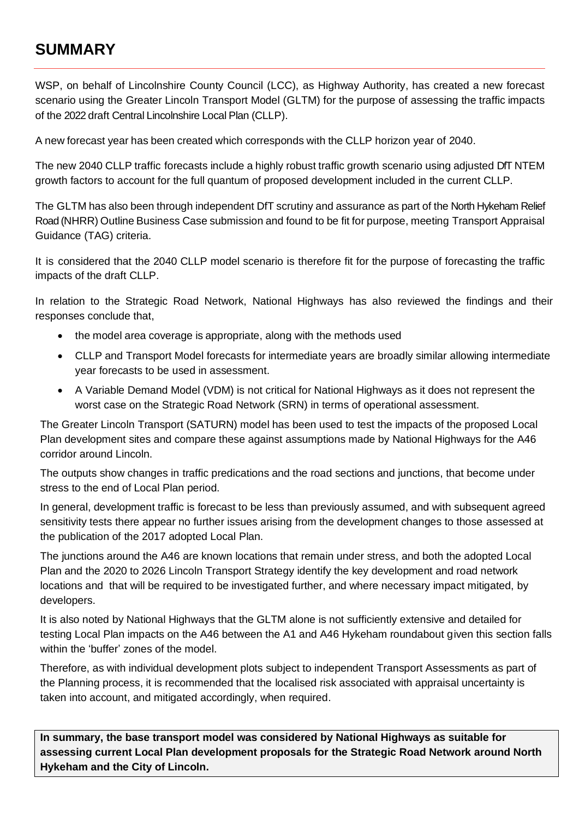# **SUMMARY**

WSP, on behalf of Lincolnshire County Council (LCC), as Highway Authority, has created a new forecast scenario using the Greater Lincoln Transport Model (GLTM) for the purpose of assessing the traffic impacts of the 2022 draft Central Lincolnshire Local Plan (CLLP).

A new forecast year has been created which corresponds with the CLLP horizon year of 2040.

The new 2040 CLLP traffic forecasts include a highly robust traffic growth scenario using adjusted DfT NTEM growth factors to account for the full quantum of proposed development included in the current CLLP.

The GLTM has also been through independent DfT scrutiny and assurance as part of the North Hykeham Relief Road (NHRR) Outline Business Case submission and found to be fit for purpose, meeting Transport Appraisal Guidance (TAG) criteria.

It is considered that the 2040 CLLP model scenario is therefore fit for the purpose of forecasting the traffic impacts of the draft CLLP.

In relation to the Strategic Road Network, National Highways has also reviewed the findings and their responses conclude that,

- the model area coverage is appropriate, along with the methods used
- CLLP and Transport Model forecasts for intermediate years are broadly similar allowing intermediate year forecasts to be used in assessment.
- A Variable Demand Model (VDM) is not critical for National Highways as it does not represent the worst case on the Strategic Road Network (SRN) in terms of operational assessment.

The Greater Lincoln Transport (SATURN) model has been used to test the impacts of the proposed Local Plan development sites and compare these against assumptions made by National Highways for the A46 corridor around Lincoln.

The outputs show changes in traffic predications and the road sections and junctions, that become under stress to the end of Local Plan period.

In general, development traffic is forecast to be less than previously assumed, and with subsequent agreed sensitivity tests there appear no further issues arising from the development changes to those assessed at the publication of the 2017 adopted Local Plan.

The junctions around the A46 are known locations that remain under stress, and both the adopted Local Plan and the 2020 to 2026 Lincoln Transport Strategy identify the key development and road network locations and that will be required to be investigated further, and where necessary impact mitigated, by developers.

It is also noted by National Highways that the GLTM alone is not sufficiently extensive and detailed for testing Local Plan impacts on the A46 between the A1 and A46 Hykeham roundabout given this section falls within the 'buffer' zones of the model.

Therefore, as with individual development plots subject to independent Transport Assessments as part of the Planning process, it is recommended that the localised risk associated with appraisal uncertainty is taken into account, and mitigated accordingly, when required.

**In summary, the base transport model was considered by National Highways as suitable for assessing current Local Plan development proposals for the Strategic Road Network around North Hykeham and the City of Lincoln.**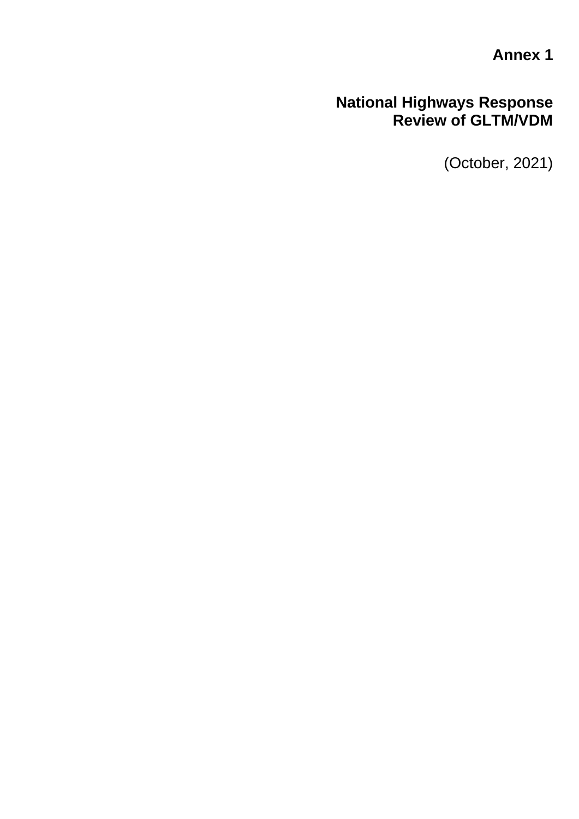**Annex 1**

# **National Highways Response Review of GLTM/VDM**

(October, 2021)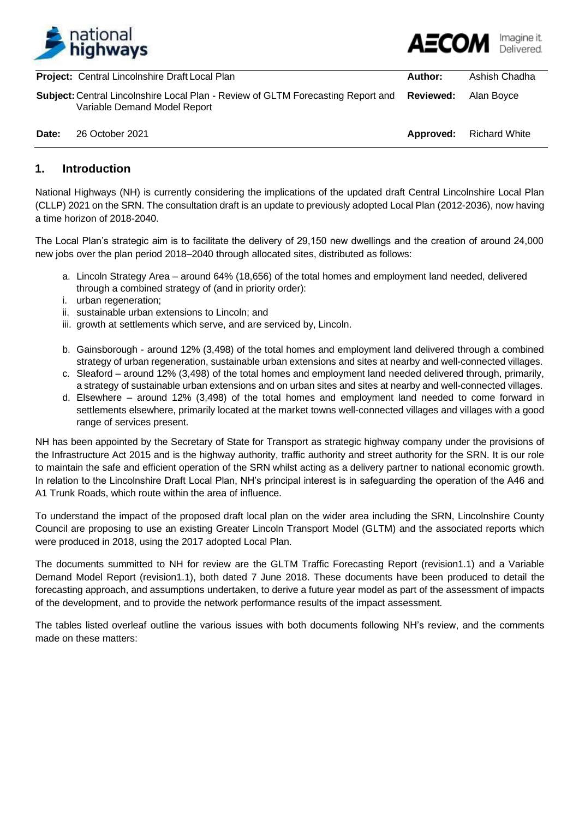

|       | <b>Project:</b> Central Lincolnshire Draft Local Plan                                                                             | Author:   | Ashish Chadha        |
|-------|-----------------------------------------------------------------------------------------------------------------------------------|-----------|----------------------|
|       | <b>Subject: Central Lincolnshire Local Plan - Review of GLTM Forecasting Report and Reviewed:</b><br>Variable Demand Model Report |           | Alan Bovce           |
| Date: | 26 October 2021                                                                                                                   | Approved: | <b>Richard White</b> |

### **1. Introduction**

National Highways (NH) is currently considering the implications of the updated draft Central Lincolnshire Local Plan (CLLP) 2021 on the SRN. The consultation draft is an update to previously adopted Local Plan (2012-2036), now having a time horizon of 2018-2040.

The Local Plan's strategic aim is to facilitate the delivery of 29,150 new dwellings and the creation of around 24,000 new jobs over the plan period 2018–2040 through allocated sites, distributed as follows:

- a. Lincoln Strategy Area around 64% (18,656) of the total homes and employment land needed, delivered through a combined strategy of (and in priority order):
- i. urban regeneration;
- ii. sustainable urban extensions to Lincoln; and
- iii. growth at settlements which serve, and are serviced by, Lincoln.
- b. Gainsborough around 12% (3,498) of the total homes and employment land delivered through a combined strategy of urban regeneration, sustainable urban extensions and sites at nearby and well-connected villages.
- c. Sleaford around 12% (3,498) of the total homes and employment land needed delivered through, primarily, a strategy of sustainable urban extensions and on urban sites and sites at nearby and well-connected villages.
- d. Elsewhere around 12% (3,498) of the total homes and employment land needed to come forward in settlements elsewhere, primarily located at the market towns well-connected villages and villages with a good range of services present.

NH has been appointed by the Secretary of State for Transport as strategic highway company under the provisions of the Infrastructure Act 2015 and is the highway authority, traffic authority and street authority for the SRN. It is our role to maintain the safe and efficient operation of the SRN whilst acting as a delivery partner to national economic growth. In relation to the Lincolnshire Draft Local Plan, NH's principal interest is in safeguarding the operation of the A46 and A1 Trunk Roads, which route within the area of influence.

To understand the impact of the proposed draft local plan on the wider area including the SRN, Lincolnshire County Council are proposing to use an existing Greater Lincoln Transport Model (GLTM) and the associated reports which were produced in 2018, using the 2017 adopted Local Plan.

The documents summitted to NH for review are the GLTM Traffic Forecasting Report (revision1.1) and a Variable Demand Model Report (revision1.1), both dated 7 June 2018. These documents have been produced to detail the forecasting approach, and assumptions undertaken, to derive a future year model as part of the assessment of impacts of the development, and to provide the network performance results of the impact assessment.

The tables listed overleaf outline the various issues with both documents following NH's review, and the comments made on these matters: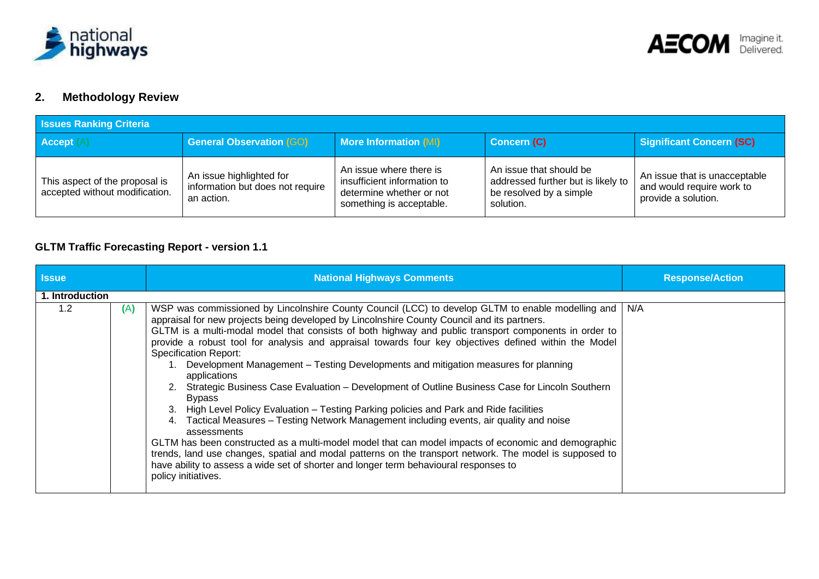



### **2. Methodology Review**

| <b>Issues Ranking Criteria</b>                                   |                                                                            |                                                                                                                |                                                                                                       |                                                                                   |  |
|------------------------------------------------------------------|----------------------------------------------------------------------------|----------------------------------------------------------------------------------------------------------------|-------------------------------------------------------------------------------------------------------|-----------------------------------------------------------------------------------|--|
| Accept (                                                         | <b>General Observation (GO)</b>                                            | <b>More Information (MI)</b>                                                                                   | <b>Concern (C)</b>                                                                                    | <b>Significant Concern (SC)</b>                                                   |  |
| This aspect of the proposal is<br>accepted without modification. | An issue highlighted for<br>information but does not require<br>an action. | An issue where there is<br>insufficient information to<br>determine whether or not<br>something is acceptable. | An issue that should be<br>addressed further but is likely to<br>be resolved by a simple<br>solution. | An issue that is unacceptable<br>and would require work to<br>provide a solution. |  |

### **GLTM Traffic Forecasting Report - version 1.1**

| <b>Issue</b>    |     | <b>National Highways Comments</b>                                                                                                                                                                                                                                                                                                                                                                                                                                                                                                                                                                                                                                                                                                                                                                                                                                                                                                                                                                                                                                                                                                                                                                                 | <b>Response/Action</b> |
|-----------------|-----|-------------------------------------------------------------------------------------------------------------------------------------------------------------------------------------------------------------------------------------------------------------------------------------------------------------------------------------------------------------------------------------------------------------------------------------------------------------------------------------------------------------------------------------------------------------------------------------------------------------------------------------------------------------------------------------------------------------------------------------------------------------------------------------------------------------------------------------------------------------------------------------------------------------------------------------------------------------------------------------------------------------------------------------------------------------------------------------------------------------------------------------------------------------------------------------------------------------------|------------------------|
| 1. Introduction |     |                                                                                                                                                                                                                                                                                                                                                                                                                                                                                                                                                                                                                                                                                                                                                                                                                                                                                                                                                                                                                                                                                                                                                                                                                   |                        |
| 1.2             | (A) | WSP was commissioned by Lincolnshire County Council (LCC) to develop GLTM to enable modelling and<br>appraisal for new projects being developed by Lincolnshire County Council and its partners.<br>GLTM is a multi-modal model that consists of both highway and public transport components in order to<br>provide a robust tool for analysis and appraisal towards four key objectives defined within the Model<br><b>Specification Report:</b><br>Development Management - Testing Developments and mitigation measures for planning<br>applications<br>2. Strategic Business Case Evaluation - Development of Outline Business Case for Lincoln Southern<br><b>Bypass</b><br>High Level Policy Evaluation – Testing Parking policies and Park and Ride facilities<br>Tactical Measures – Testing Network Management including events, air quality and noise<br>assessments<br>GLTM has been constructed as a multi-model model that can model impacts of economic and demographic<br>trends, land use changes, spatial and modal patterns on the transport network. The model is supposed to<br>have ability to assess a wide set of shorter and longer term behavioural responses to<br>policy initiatives. | N/A                    |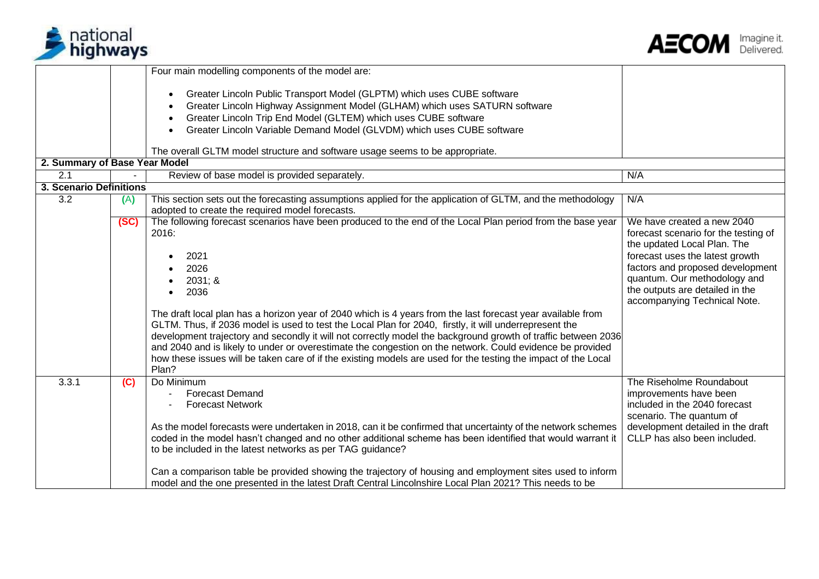



development detailed in the draft CLLP has also been included.

|                               |      | Four main modelling components of the model are:                                                                                                                                                                                                                                                                                                                                                                                                                                                                                                                                                                                                                                                                                         |                                                                                                                                                                                                                                                                             |
|-------------------------------|------|------------------------------------------------------------------------------------------------------------------------------------------------------------------------------------------------------------------------------------------------------------------------------------------------------------------------------------------------------------------------------------------------------------------------------------------------------------------------------------------------------------------------------------------------------------------------------------------------------------------------------------------------------------------------------------------------------------------------------------------|-----------------------------------------------------------------------------------------------------------------------------------------------------------------------------------------------------------------------------------------------------------------------------|
|                               |      | Greater Lincoln Public Transport Model (GLPTM) which uses CUBE software<br>$\bullet$<br>Greater Lincoln Highway Assignment Model (GLHAM) which uses SATURN software<br>Greater Lincoln Trip End Model (GLTEM) which uses CUBE software                                                                                                                                                                                                                                                                                                                                                                                                                                                                                                   |                                                                                                                                                                                                                                                                             |
|                               |      | Greater Lincoln Variable Demand Model (GLVDM) which uses CUBE software                                                                                                                                                                                                                                                                                                                                                                                                                                                                                                                                                                                                                                                                   |                                                                                                                                                                                                                                                                             |
|                               |      | The overall GLTM model structure and software usage seems to be appropriate.                                                                                                                                                                                                                                                                                                                                                                                                                                                                                                                                                                                                                                                             |                                                                                                                                                                                                                                                                             |
| 2. Summary of Base Year Model |      |                                                                                                                                                                                                                                                                                                                                                                                                                                                                                                                                                                                                                                                                                                                                          |                                                                                                                                                                                                                                                                             |
| $\overline{2.1}$              |      | Review of base model is provided separately.                                                                                                                                                                                                                                                                                                                                                                                                                                                                                                                                                                                                                                                                                             | N/A                                                                                                                                                                                                                                                                         |
| 3. Scenario Definitions       |      |                                                                                                                                                                                                                                                                                                                                                                                                                                                                                                                                                                                                                                                                                                                                          |                                                                                                                                                                                                                                                                             |
| $\overline{3.2}$              | (A)  | This section sets out the forecasting assumptions applied for the application of GLTM, and the methodology<br>adopted to create the required model forecasts.                                                                                                                                                                                                                                                                                                                                                                                                                                                                                                                                                                            | N/A                                                                                                                                                                                                                                                                         |
|                               | (SC) | The following forecast scenarios have been produced to the end of the Local Plan period from the base year<br>2016:<br>2021<br>2026<br>2031; &<br>2036<br>The draft local plan has a horizon year of 2040 which is 4 years from the last forecast year available from<br>GLTM. Thus, if 2036 model is used to test the Local Plan for 2040, firstly, it will underrepresent the<br>development trajectory and secondly it will not correctly model the background growth of traffic between 2036<br>and 2040 and is likely to under or overestimate the congestion on the network. Could evidence be provided<br>how these issues will be taken care of if the existing models are used for the testing the impact of the Local<br>Plan? | We have created a new 2040<br>forecast scenario for the testing of<br>the updated Local Plan. The<br>forecast uses the latest growth<br>factors and proposed development<br>quantum. Our methodology and<br>the outputs are detailed in the<br>accompanying Technical Note. |
| 3.3.1                         | (C)  | Do Minimum<br><b>Forecast Demand</b><br><b>Forecast Network</b>                                                                                                                                                                                                                                                                                                                                                                                                                                                                                                                                                                                                                                                                          | The Riseholme Roundabout<br>improvements have been<br>included in the 2040 forecast<br>scenario. The quantum of                                                                                                                                                             |

As the model forecasts were undertaken in 2018, can it be confirmed that uncertainty of the network schemes coded in the model hasn't changed and no other additional scheme has been identified that would warrant it

Can a comparison table be provided showing the trajectory of housing and employment sites used to inform model and the one presented in the latest Draft Central Lincolnshire Local Plan 2021? This needs to be

to be included in the latest networks as per TAG guidance?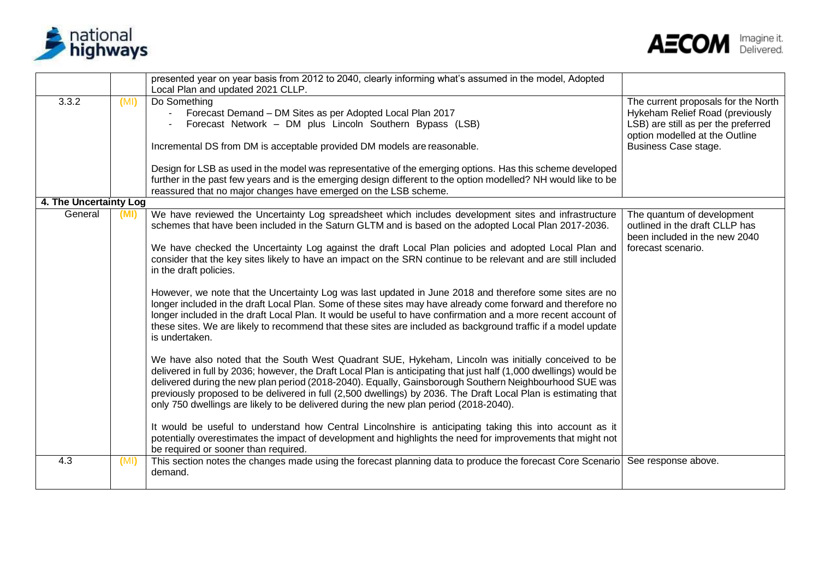



|                        |      | presented year on year basis from 2012 to 2040, clearly informing what's assumed in the model, Adopted                                                                                                                                                                                                                                                                                                                                                   |                                     |
|------------------------|------|----------------------------------------------------------------------------------------------------------------------------------------------------------------------------------------------------------------------------------------------------------------------------------------------------------------------------------------------------------------------------------------------------------------------------------------------------------|-------------------------------------|
|                        |      | Local Plan and updated 2021 CLLP.                                                                                                                                                                                                                                                                                                                                                                                                                        |                                     |
| 3.3.2                  | (MI) | Do Something                                                                                                                                                                                                                                                                                                                                                                                                                                             | The current proposals for the North |
|                        |      | Forecast Demand - DM Sites as per Adopted Local Plan 2017                                                                                                                                                                                                                                                                                                                                                                                                | Hykeham Relief Road (previously     |
|                        |      | Forecast Network - DM plus Lincoln Southern Bypass (LSB)                                                                                                                                                                                                                                                                                                                                                                                                 | LSB) are still as per the preferred |
|                        |      |                                                                                                                                                                                                                                                                                                                                                                                                                                                          | option modelled at the Outline      |
|                        |      | Incremental DS from DM is acceptable provided DM models are reasonable.                                                                                                                                                                                                                                                                                                                                                                                  | Business Case stage.                |
|                        |      | Design for LSB as used in the model was representative of the emerging options. Has this scheme developed                                                                                                                                                                                                                                                                                                                                                |                                     |
|                        |      | further in the past few years and is the emerging design different to the option modelled? NH would like to be                                                                                                                                                                                                                                                                                                                                           |                                     |
|                        |      | reassured that no major changes have emerged on the LSB scheme.                                                                                                                                                                                                                                                                                                                                                                                          |                                     |
| 4. The Uncertainty Log |      |                                                                                                                                                                                                                                                                                                                                                                                                                                                          |                                     |
| General                | (MI) | We have reviewed the Uncertainty Log spreadsheet which includes development sites and infrastructure                                                                                                                                                                                                                                                                                                                                                     | The quantum of development          |
|                        |      | schemes that have been included in the Saturn GLTM and is based on the adopted Local Plan 2017-2036.                                                                                                                                                                                                                                                                                                                                                     | outlined in the draft CLLP has      |
|                        |      |                                                                                                                                                                                                                                                                                                                                                                                                                                                          | been included in the new 2040       |
|                        |      | We have checked the Uncertainty Log against the draft Local Plan policies and adopted Local Plan and<br>consider that the key sites likely to have an impact on the SRN continue to be relevant and are still included<br>in the draft policies.                                                                                                                                                                                                         | forecast scenario.                  |
|                        |      |                                                                                                                                                                                                                                                                                                                                                                                                                                                          |                                     |
|                        |      | However, we note that the Uncertainty Log was last updated in June 2018 and therefore some sites are no<br>longer included in the draft Local Plan. Some of these sites may have already come forward and therefore no<br>longer included in the draft Local Plan. It would be useful to have confirmation and a more recent account of<br>these sites. We are likely to recommend that these sites are included as background traffic if a model update |                                     |
|                        |      | is undertaken.                                                                                                                                                                                                                                                                                                                                                                                                                                           |                                     |
|                        |      | We have also noted that the South West Quadrant SUE, Hykeham, Lincoln was initially conceived to be                                                                                                                                                                                                                                                                                                                                                      |                                     |
|                        |      | delivered in full by 2036; however, the Draft Local Plan is anticipating that just half (1,000 dwellings) would be                                                                                                                                                                                                                                                                                                                                       |                                     |
|                        |      | delivered during the new plan period (2018-2040). Equally, Gainsborough Southern Neighbourhood SUE was                                                                                                                                                                                                                                                                                                                                                   |                                     |
|                        |      | previously proposed to be delivered in full (2,500 dwellings) by 2036. The Draft Local Plan is estimating that                                                                                                                                                                                                                                                                                                                                           |                                     |
|                        |      | only 750 dwellings are likely to be delivered during the new plan period (2018-2040).                                                                                                                                                                                                                                                                                                                                                                    |                                     |
|                        |      |                                                                                                                                                                                                                                                                                                                                                                                                                                                          |                                     |
|                        |      | It would be useful to understand how Central Lincolnshire is anticipating taking this into account as it                                                                                                                                                                                                                                                                                                                                                 |                                     |
|                        |      | potentially overestimates the impact of development and highlights the need for improvements that might not                                                                                                                                                                                                                                                                                                                                              |                                     |
|                        |      | be required or sooner than required.                                                                                                                                                                                                                                                                                                                                                                                                                     |                                     |
| 4.3                    | (MI) | This section notes the changes made using the forecast planning data to produce the forecast Core Scenario<br>demand.                                                                                                                                                                                                                                                                                                                                    | See response above.                 |
|                        |      |                                                                                                                                                                                                                                                                                                                                                                                                                                                          |                                     |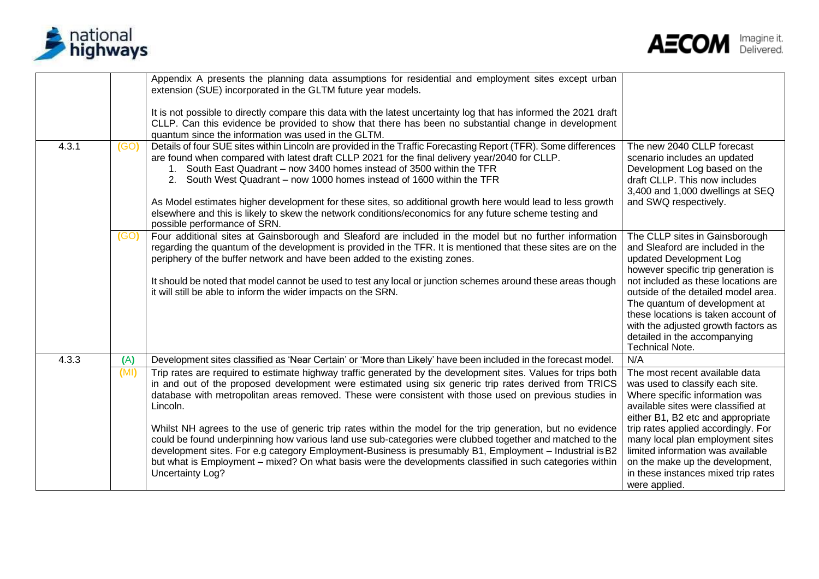



|                      | Appendix A presents the planning data assumptions for residential and employment sites except urban<br>extension (SUE) incorporated in the GLTM future year models.<br>It is not possible to directly compare this data with the latest uncertainty log that has informed the 2021 draft<br>CLLP. Can this evidence be provided to show that there has been no substantial change in development<br>quantum since the information was used in the GLTM.                                                                                                                                                                                                                                                                                                                                                                                                                                                                              |                                                                                                                                                                                                                                                                                                                                                                                             |
|----------------------|--------------------------------------------------------------------------------------------------------------------------------------------------------------------------------------------------------------------------------------------------------------------------------------------------------------------------------------------------------------------------------------------------------------------------------------------------------------------------------------------------------------------------------------------------------------------------------------------------------------------------------------------------------------------------------------------------------------------------------------------------------------------------------------------------------------------------------------------------------------------------------------------------------------------------------------|---------------------------------------------------------------------------------------------------------------------------------------------------------------------------------------------------------------------------------------------------------------------------------------------------------------------------------------------------------------------------------------------|
| 4.3.1<br>(GO)        | Details of four SUE sites within Lincoln are provided in the Traffic Forecasting Report (TFR). Some differences<br>are found when compared with latest draft CLLP 2021 for the final delivery year/2040 for CLLP.<br>1. South East Quadrant - now 3400 homes instead of 3500 within the TFR<br>South West Quadrant – now 1000 homes instead of 1600 within the TFR<br>2 <sup>1</sup><br>As Model estimates higher development for these sites, so additional growth here would lead to less growth<br>elsewhere and this is likely to skew the network conditions/economics for any future scheme testing and<br>possible performance of SRN.                                                                                                                                                                                                                                                                                        | The new 2040 CLLP forecast<br>scenario includes an updated<br>Development Log based on the<br>draft CLLP. This now includes<br>3,400 and 1,000 dwellings at SEQ<br>and SWQ respectively.                                                                                                                                                                                                    |
| (GO)                 | Four additional sites at Gainsborough and Sleaford are included in the model but no further information<br>regarding the quantum of the development is provided in the TFR. It is mentioned that these sites are on the<br>periphery of the buffer network and have been added to the existing zones.<br>It should be noted that model cannot be used to test any local or junction schemes around these areas though<br>it will still be able to inform the wider impacts on the SRN.                                                                                                                                                                                                                                                                                                                                                                                                                                               | The CLLP sites in Gainsborough<br>and Sleaford are included in the<br>updated Development Log<br>however specific trip generation is<br>not included as these locations are<br>outside of the detailed model area.<br>The quantum of development at<br>these locations is taken account of<br>with the adjusted growth factors as<br>detailed in the accompanying<br><b>Technical Note.</b> |
| 4.3.3<br>(A)<br>(MI) | Development sites classified as 'Near Certain' or 'More than Likely' have been included in the forecast model.<br>Trip rates are required to estimate highway traffic generated by the development sites. Values for trips both<br>in and out of the proposed development were estimated using six generic trip rates derived from TRICS<br>database with metropolitan areas removed. These were consistent with those used on previous studies in<br>Lincoln.<br>Whilst NH agrees to the use of generic trip rates within the model for the trip generation, but no evidence<br>could be found underpinning how various land use sub-categories were clubbed together and matched to the<br>development sites. For e.g category Employment-Business is presumably B1, Employment - Industrial is B2<br>but what is Employment – mixed? On what basis were the developments classified in such categories within<br>Uncertainty Log? | N/A<br>The most recent available data<br>was used to classify each site.<br>Where specific information was<br>available sites were classified at<br>either B1, B2 etc and appropriate<br>trip rates applied accordingly. For<br>many local plan employment sites<br>limited information was available<br>on the make up the development,<br>in these instances mixed trip rates             |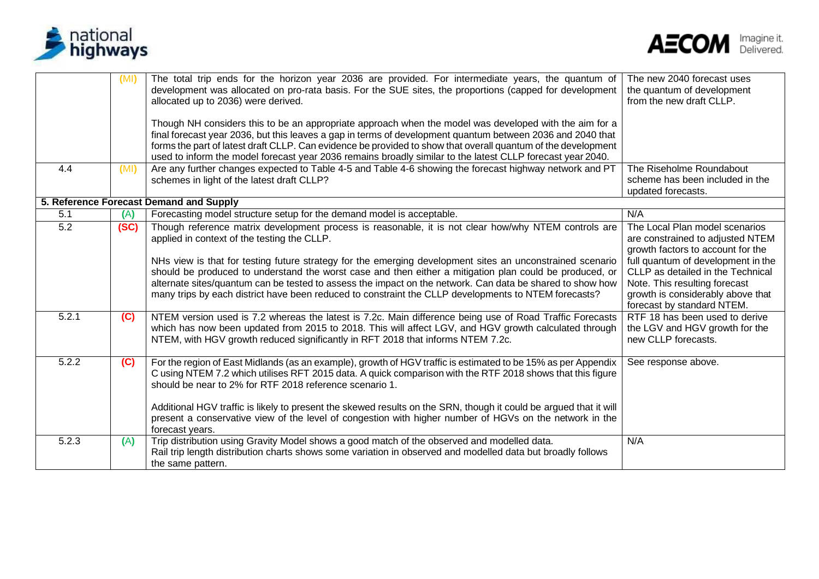



|       | (MI) | The total trip ends for the horizon year 2036 are provided. For intermediate years, the quantum of<br>development was allocated on pro-rata basis. For the SUE sites, the proportions (capped for development<br>allocated up to 2036) were derived.                                                                                                                                                                                                                                                                                      | The new 2040 forecast uses<br>the quantum of development<br>from the new draft CLLP.                                                                                        |
|-------|------|-------------------------------------------------------------------------------------------------------------------------------------------------------------------------------------------------------------------------------------------------------------------------------------------------------------------------------------------------------------------------------------------------------------------------------------------------------------------------------------------------------------------------------------------|-----------------------------------------------------------------------------------------------------------------------------------------------------------------------------|
|       |      | Though NH considers this to be an appropriate approach when the model was developed with the aim for a<br>final forecast year 2036, but this leaves a gap in terms of development quantum between 2036 and 2040 that<br>forms the part of latest draft CLLP. Can evidence be provided to show that overall quantum of the development<br>used to inform the model forecast year 2036 remains broadly similar to the latest CLLP forecast year 2040.                                                                                       |                                                                                                                                                                             |
| 4.4   | (MI) | Are any further changes expected to Table 4-5 and Table 4-6 showing the forecast highway network and PT<br>schemes in light of the latest draft CLLP?                                                                                                                                                                                                                                                                                                                                                                                     | The Riseholme Roundabout<br>scheme has been included in the<br>updated forecasts.                                                                                           |
|       |      | 5. Reference Forecast Demand and Supply                                                                                                                                                                                                                                                                                                                                                                                                                                                                                                   |                                                                                                                                                                             |
| 5.1   | (A)  | Forecasting model structure setup for the demand model is acceptable.                                                                                                                                                                                                                                                                                                                                                                                                                                                                     | N/A                                                                                                                                                                         |
| 5.2   | (SC) | Though reference matrix development process is reasonable, it is not clear how/why NTEM controls are<br>applied in context of the testing the CLLP.                                                                                                                                                                                                                                                                                                                                                                                       | The Local Plan model scenarios<br>are constrained to adjusted NTEM<br>growth factors to account for the                                                                     |
|       |      | NHs view is that for testing future strategy for the emerging development sites an unconstrained scenario<br>should be produced to understand the worst case and then either a mitigation plan could be produced, or<br>alternate sites/quantum can be tested to assess the impact on the network. Can data be shared to show how<br>many trips by each district have been reduced to constraint the CLLP developments to NTEM forecasts?                                                                                                 | full quantum of development in the<br>CLLP as detailed in the Technical<br>Note. This resulting forecast<br>growth is considerably above that<br>forecast by standard NTEM. |
| 5.2.1 | (C)  | NTEM version used is 7.2 whereas the latest is 7.2c. Main difference being use of Road Traffic Forecasts<br>which has now been updated from 2015 to 2018. This will affect LGV, and HGV growth calculated through<br>NTEM, with HGV growth reduced significantly in RFT 2018 that informs NTEM 7.2c.                                                                                                                                                                                                                                      | RTF 18 has been used to derive<br>the LGV and HGV growth for the<br>new CLLP forecasts.                                                                                     |
| 5.2.2 | (C)  | For the region of East Midlands (as an example), growth of HGV traffic is estimated to be 15% as per Appendix<br>C using NTEM 7.2 which utilises RFT 2015 data. A quick comparison with the RTF 2018 shows that this figure<br>should be near to 2% for RTF 2018 reference scenario 1.<br>Additional HGV traffic is likely to present the skewed results on the SRN, though it could be argued that it will<br>present a conservative view of the level of congestion with higher number of HGVs on the network in the<br>forecast years. | See response above.                                                                                                                                                         |
| 5.2.3 | (A)  | Trip distribution using Gravity Model shows a good match of the observed and modelled data.<br>Rail trip length distribution charts shows some variation in observed and modelled data but broadly follows<br>the same pattern.                                                                                                                                                                                                                                                                                                           | N/A                                                                                                                                                                         |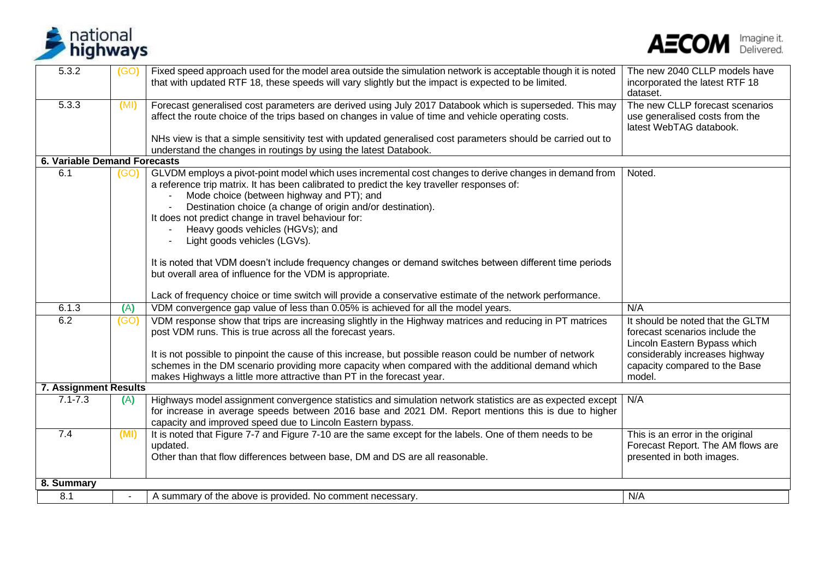



| 5.3.2                               | (GO) | Fixed speed approach used for the model area outside the simulation network is acceptable though it is noted<br>that with updated RTF 18, these speeds will vary slightly but the impact is expected to be limited.                                                                                                                                                                                                                                                                                                                                                                                                  | The new 2040 CLLP models have<br>incorporated the latest RTF 18<br>dataset.                                                                                                     |
|-------------------------------------|------|----------------------------------------------------------------------------------------------------------------------------------------------------------------------------------------------------------------------------------------------------------------------------------------------------------------------------------------------------------------------------------------------------------------------------------------------------------------------------------------------------------------------------------------------------------------------------------------------------------------------|---------------------------------------------------------------------------------------------------------------------------------------------------------------------------------|
| 5.3.3                               | (MI) | Forecast generalised cost parameters are derived using July 2017 Databook which is superseded. This may<br>affect the route choice of the trips based on changes in value of time and vehicle operating costs.                                                                                                                                                                                                                                                                                                                                                                                                       | The new CLLP forecast scenarios<br>use generalised costs from the<br>latest WebTAG databook.                                                                                    |
|                                     |      | NHs view is that a simple sensitivity test with updated generalised cost parameters should be carried out to<br>understand the changes in routings by using the latest Databook.                                                                                                                                                                                                                                                                                                                                                                                                                                     |                                                                                                                                                                                 |
| <b>6. Variable Demand Forecasts</b> |      |                                                                                                                                                                                                                                                                                                                                                                                                                                                                                                                                                                                                                      |                                                                                                                                                                                 |
| 6.1                                 | (GO) | GLVDM employs a pivot-point model which uses incremental cost changes to derive changes in demand from<br>a reference trip matrix. It has been calibrated to predict the key traveller responses of:<br>Mode choice (between highway and PT); and<br>Destination choice (a change of origin and/or destination).<br>It does not predict change in travel behaviour for:<br>Heavy goods vehicles (HGVs); and<br>Light goods vehicles (LGVs).<br>It is noted that VDM doesn't include frequency changes or demand switches between different time periods<br>but overall area of influence for the VDM is appropriate. | Noted.                                                                                                                                                                          |
|                                     |      |                                                                                                                                                                                                                                                                                                                                                                                                                                                                                                                                                                                                                      |                                                                                                                                                                                 |
| 6.1.3                               |      | Lack of frequency choice or time switch will provide a conservative estimate of the network performance.                                                                                                                                                                                                                                                                                                                                                                                                                                                                                                             | N/A                                                                                                                                                                             |
|                                     | (A)  | VDM convergence gap value of less than 0.05% is achieved for all the model years.                                                                                                                                                                                                                                                                                                                                                                                                                                                                                                                                    |                                                                                                                                                                                 |
| 6.2                                 | (GO) | VDM response show that trips are increasing slightly in the Highway matrices and reducing in PT matrices<br>post VDM runs. This is true across all the forecast years.<br>It is not possible to pinpoint the cause of this increase, but possible reason could be number of network<br>schemes in the DM scenario providing more capacity when compared with the additional demand which<br>makes Highways a little more attractive than PT in the forecast year.                                                                                                                                                    | It should be noted that the GLTM<br>forecast scenarios include the<br>Lincoln Eastern Bypass which<br>considerably increases highway<br>capacity compared to the Base<br>model. |
| <b>7. Assignment Results</b>        |      |                                                                                                                                                                                                                                                                                                                                                                                                                                                                                                                                                                                                                      |                                                                                                                                                                                 |
| $7.1 - 7.3$                         | (A)  | Highways model assignment convergence statistics and simulation network statistics are as expected except   N/A<br>for increase in average speeds between 2016 base and 2021 DM. Report mentions this is due to higher<br>capacity and improved speed due to Lincoln Eastern bypass.                                                                                                                                                                                                                                                                                                                                 |                                                                                                                                                                                 |
| 7.4                                 | (MI) | It is noted that Figure 7-7 and Figure 7-10 are the same except for the labels. One of them needs to be<br>updated.<br>Other than that flow differences between base, DM and DS are all reasonable.                                                                                                                                                                                                                                                                                                                                                                                                                  | This is an error in the original<br>Forecast Report. The AM flows are<br>presented in both images.                                                                              |
| 8. Summary                          |      |                                                                                                                                                                                                                                                                                                                                                                                                                                                                                                                                                                                                                      |                                                                                                                                                                                 |
| 8.1                                 |      | A summary of the above is provided. No comment necessary.                                                                                                                                                                                                                                                                                                                                                                                                                                                                                                                                                            | N/A                                                                                                                                                                             |
|                                     |      |                                                                                                                                                                                                                                                                                                                                                                                                                                                                                                                                                                                                                      |                                                                                                                                                                                 |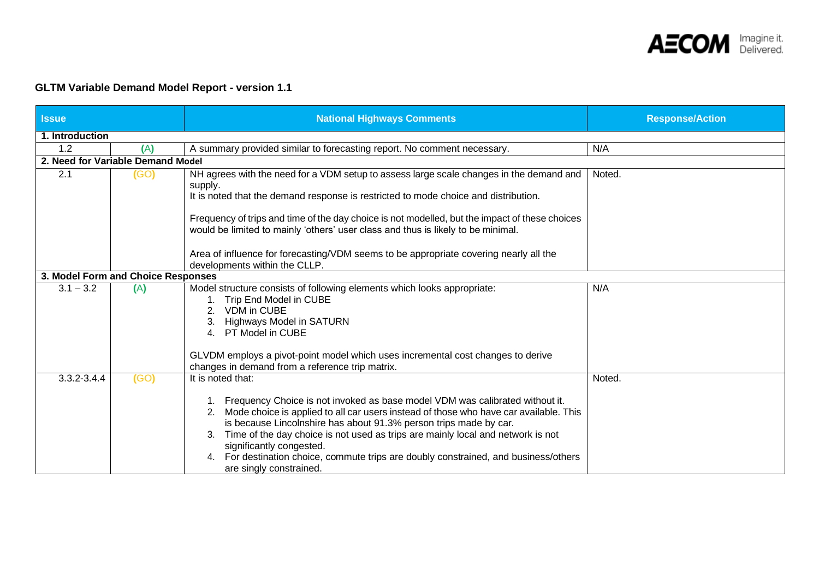

### **GLTM Variable Demand Model Report - version 1.1**

| <b>Issue</b>           |                                    | <b>National Highways Comments</b>                                                                                                                                                                                                                                                                                                                                                                                                                                                                       | <b>Response/Action</b> |  |  |  |  |
|------------------------|------------------------------------|---------------------------------------------------------------------------------------------------------------------------------------------------------------------------------------------------------------------------------------------------------------------------------------------------------------------------------------------------------------------------------------------------------------------------------------------------------------------------------------------------------|------------------------|--|--|--|--|
| 1. Introduction        |                                    |                                                                                                                                                                                                                                                                                                                                                                                                                                                                                                         |                        |  |  |  |  |
| 1.2                    | (A)                                | A summary provided similar to forecasting report. No comment necessary.                                                                                                                                                                                                                                                                                                                                                                                                                                 | N/A                    |  |  |  |  |
|                        | 2. Need for Variable Demand Model  |                                                                                                                                                                                                                                                                                                                                                                                                                                                                                                         |                        |  |  |  |  |
| 2.1<br>(GO)<br>supply. |                                    | NH agrees with the need for a VDM setup to assess large scale changes in the demand and<br>It is noted that the demand response is restricted to mode choice and distribution.                                                                                                                                                                                                                                                                                                                          | Noted.                 |  |  |  |  |
|                        |                                    | Frequency of trips and time of the day choice is not modelled, but the impact of these choices<br>would be limited to mainly 'others' user class and thus is likely to be minimal.                                                                                                                                                                                                                                                                                                                      |                        |  |  |  |  |
|                        |                                    | Area of influence for forecasting/VDM seems to be appropriate covering nearly all the<br>developments within the CLLP.                                                                                                                                                                                                                                                                                                                                                                                  |                        |  |  |  |  |
|                        | 3. Model Form and Choice Responses |                                                                                                                                                                                                                                                                                                                                                                                                                                                                                                         |                        |  |  |  |  |
| $3.1 - 3.2$            | (A)                                | Model structure consists of following elements which looks appropriate:<br>Trip End Model in CUBE<br><b>VDM</b> in CUBE<br><b>Highways Model in SATURN</b><br>PT Model in CUBE<br>4.                                                                                                                                                                                                                                                                                                                    | N/A                    |  |  |  |  |
|                        |                                    | GLVDM employs a pivot-point model which uses incremental cost changes to derive<br>changes in demand from a reference trip matrix.                                                                                                                                                                                                                                                                                                                                                                      |                        |  |  |  |  |
| 3.3.2-3.4.4            | (GO)                               | It is noted that:<br>1. Frequency Choice is not invoked as base model VDM was calibrated without it.<br>Mode choice is applied to all car users instead of those who have car available. This<br>is because Lincolnshire has about 91.3% person trips made by car.<br>Time of the day choice is not used as trips are mainly local and network is not<br>significantly congested.<br>For destination choice, commute trips are doubly constrained, and business/others<br>4.<br>are singly constrained. | Noted.                 |  |  |  |  |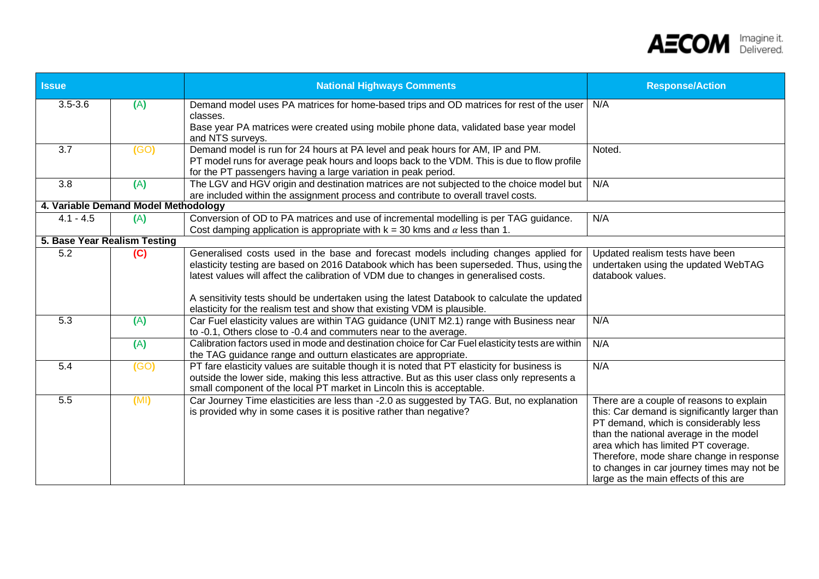

| <b>Issue</b>                 |                                      | <b>National Highways Comments</b>                                                                                                                                                                                                                                                                                                                                                                                                                    | <b>Response/Action</b>                                                                                                                                                                                                                                                                                                                                 |
|------------------------------|--------------------------------------|------------------------------------------------------------------------------------------------------------------------------------------------------------------------------------------------------------------------------------------------------------------------------------------------------------------------------------------------------------------------------------------------------------------------------------------------------|--------------------------------------------------------------------------------------------------------------------------------------------------------------------------------------------------------------------------------------------------------------------------------------------------------------------------------------------------------|
| $3.5 - 3.6$                  | (A)                                  | Demand model uses PA matrices for home-based trips and OD matrices for rest of the user<br>classes.<br>Base year PA matrices were created using mobile phone data, validated base year model                                                                                                                                                                                                                                                         | N/A                                                                                                                                                                                                                                                                                                                                                    |
| 3.7                          | (GO)                                 | and NTS surveys.<br>Demand model is run for 24 hours at PA level and peak hours for AM, IP and PM.<br>PT model runs for average peak hours and loops back to the VDM. This is due to flow profile<br>for the PT passengers having a large variation in peak period.                                                                                                                                                                                  | Noted.                                                                                                                                                                                                                                                                                                                                                 |
| 3.8                          | (A)                                  | The LGV and HGV origin and destination matrices are not subjected to the choice model but<br>are included within the assignment process and contribute to overall travel costs.                                                                                                                                                                                                                                                                      | N/A                                                                                                                                                                                                                                                                                                                                                    |
|                              | 4. Variable Demand Model Methodology |                                                                                                                                                                                                                                                                                                                                                                                                                                                      |                                                                                                                                                                                                                                                                                                                                                        |
| $4.1 - 4.5$                  | (A)                                  | Conversion of OD to PA matrices and use of incremental modelling is per TAG guidance.<br>Cost damping application is appropriate with $k = 30$ kms and $\alpha$ less than 1.                                                                                                                                                                                                                                                                         | N/A                                                                                                                                                                                                                                                                                                                                                    |
| 5. Base Year Realism Testing |                                      |                                                                                                                                                                                                                                                                                                                                                                                                                                                      |                                                                                                                                                                                                                                                                                                                                                        |
| $\overline{5.2}$             | (C)                                  | Generalised costs used in the base and forecast models including changes applied for<br>elasticity testing are based on 2016 Databook which has been superseded. Thus, using the<br>latest values will affect the calibration of VDM due to changes in generalised costs.<br>A sensitivity tests should be undertaken using the latest Databook to calculate the updated<br>elasticity for the realism test and show that existing VDM is plausible. | Updated realism tests have been<br>undertaken using the updated WebTAG<br>databook values.                                                                                                                                                                                                                                                             |
| 5.3                          | (A)                                  | Car Fuel elasticity values are within TAG guidance (UNIT M2.1) range with Business near<br>to -0.1, Others close to -0.4 and commuters near to the average.                                                                                                                                                                                                                                                                                          | N/A                                                                                                                                                                                                                                                                                                                                                    |
|                              | (A)                                  | Calibration factors used in mode and destination choice for Car Fuel elasticity tests are within<br>the TAG guidance range and outturn elasticates are appropriate.                                                                                                                                                                                                                                                                                  | N/A                                                                                                                                                                                                                                                                                                                                                    |
| 5.4                          | (GO)                                 | PT fare elasticity values are suitable though it is noted that PT elasticity for business is<br>outside the lower side, making this less attractive. But as this user class only represents a<br>small component of the local PT market in Lincoln this is acceptable.                                                                                                                                                                               | N/A                                                                                                                                                                                                                                                                                                                                                    |
| 5.5                          | (MI)                                 | Car Journey Time elasticities are less than -2.0 as suggested by TAG. But, no explanation<br>is provided why in some cases it is positive rather than negative?                                                                                                                                                                                                                                                                                      | There are a couple of reasons to explain<br>this: Car demand is significantly larger than<br>PT demand, which is considerably less<br>than the national average in the model<br>area which has limited PT coverage.<br>Therefore, mode share change in response<br>to changes in car journey times may not be<br>large as the main effects of this are |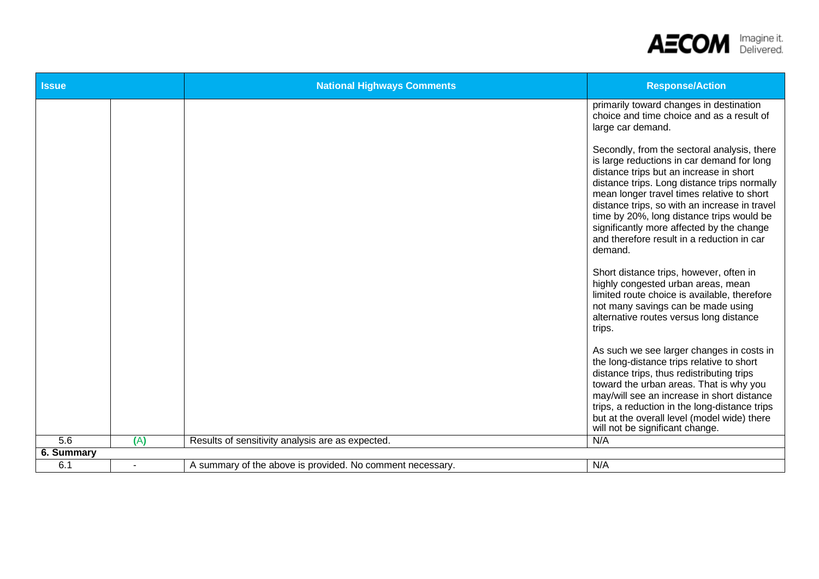

| <b>Issue</b>      |     | <b>National Highways Comments</b>                         | <b>Response/Action</b>                                                                                                                                                                                                                                                                                                                                                                                                                 |
|-------------------|-----|-----------------------------------------------------------|----------------------------------------------------------------------------------------------------------------------------------------------------------------------------------------------------------------------------------------------------------------------------------------------------------------------------------------------------------------------------------------------------------------------------------------|
|                   |     |                                                           | primarily toward changes in destination<br>choice and time choice and as a result of<br>large car demand.                                                                                                                                                                                                                                                                                                                              |
|                   |     |                                                           | Secondly, from the sectoral analysis, there<br>is large reductions in car demand for long<br>distance trips but an increase in short<br>distance trips. Long distance trips normally<br>mean longer travel times relative to short<br>distance trips, so with an increase in travel<br>time by 20%, long distance trips would be<br>significantly more affected by the change<br>and therefore result in a reduction in car<br>demand. |
|                   |     |                                                           | Short distance trips, however, often in<br>highly congested urban areas, mean<br>limited route choice is available, therefore<br>not many savings can be made using<br>alternative routes versus long distance<br>trips.                                                                                                                                                                                                               |
|                   |     |                                                           | As such we see larger changes in costs in<br>the long-distance trips relative to short<br>distance trips, thus redistributing trips<br>toward the urban areas. That is why you<br>may/will see an increase in short distance<br>trips, a reduction in the long-distance trips<br>but at the overall level (model wide) there<br>will not be significant change.                                                                        |
| 5.6               | (A) | Results of sensitivity analysis are as expected.          | N/A                                                                                                                                                                                                                                                                                                                                                                                                                                    |
| <b>6. Summary</b> |     |                                                           |                                                                                                                                                                                                                                                                                                                                                                                                                                        |
| 6.1               |     | A summary of the above is provided. No comment necessary. | N/A                                                                                                                                                                                                                                                                                                                                                                                                                                    |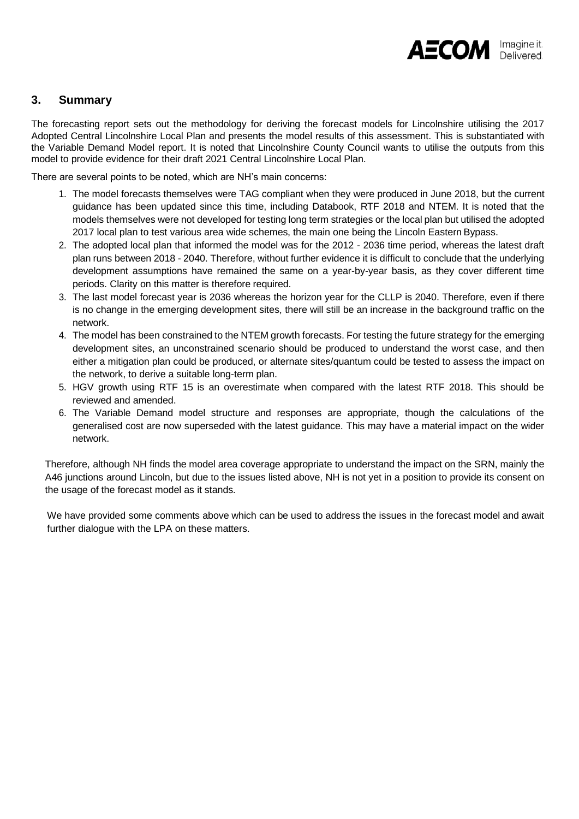### **3. Summary**

The forecasting report sets out the methodology for deriving the forecast models for Lincolnshire utilising the 2017 Adopted Central Lincolnshire Local Plan and presents the model results of this assessment. This is substantiated with the Variable Demand Model report. It is noted that Lincolnshire County Council wants to utilise the outputs from this model to provide evidence for their draft 2021 Central Lincolnshire Local Plan.

There are several points to be noted, which are NH's main concerns:

- 1. The model forecasts themselves were TAG compliant when they were produced in June 2018, but the current guidance has been updated since this time, including Databook, RTF 2018 and NTEM. It is noted that the models themselves were not developed for testing long term strategies or the local plan but utilised the adopted 2017 local plan to test various area wide schemes, the main one being the Lincoln Eastern Bypass.
- 2. The adopted local plan that informed the model was for the 2012 2036 time period, whereas the latest draft plan runs between 2018 - 2040. Therefore, without further evidence it is difficult to conclude that the underlying development assumptions have remained the same on a year-by-year basis, as they cover different time periods. Clarity on this matter is therefore required.
- 3. The last model forecast year is 2036 whereas the horizon year for the CLLP is 2040. Therefore, even if there is no change in the emerging development sites, there will still be an increase in the background traffic on the network.
- 4. The model has been constrained to the NTEM growth forecasts. For testing the future strategy for the emerging development sites, an unconstrained scenario should be produced to understand the worst case, and then either a mitigation plan could be produced, or alternate sites/quantum could be tested to assess the impact on the network, to derive a suitable long-term plan.
- 5. HGV growth using RTF 15 is an overestimate when compared with the latest RTF 2018. This should be reviewed and amended.
- 6. The Variable Demand model structure and responses are appropriate, though the calculations of the generalised cost are now superseded with the latest guidance. This may have a material impact on the wider network.

Therefore, although NH finds the model area coverage appropriate to understand the impact on the SRN, mainly the A46 junctions around Lincoln, but due to the issues listed above, NH is not yet in a position to provide its consent on the usage of the forecast model as it stands.

We have provided some comments above which can be used to address the issues in the forecast model and await further dialogue with the LPA on these matters.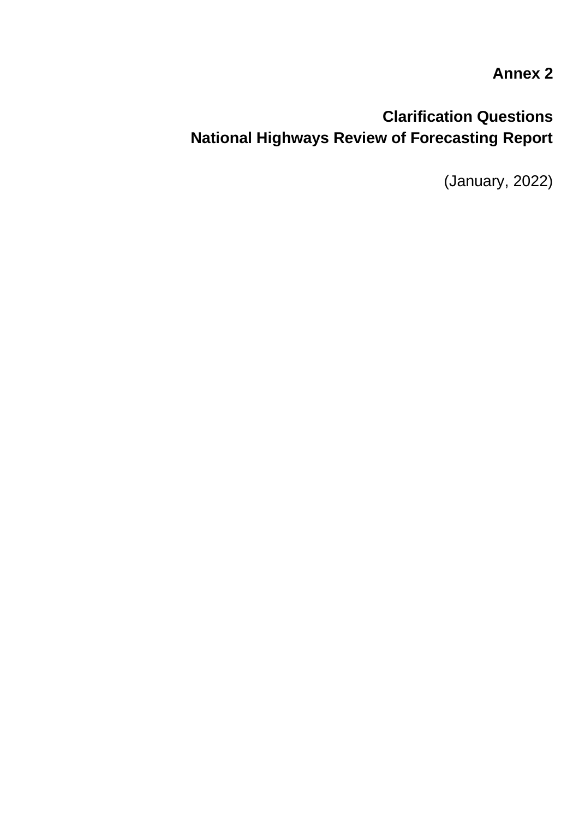# **Annex 2**

# **Clarification Questions National Highways Review of Forecasting Report**

(January, 2022)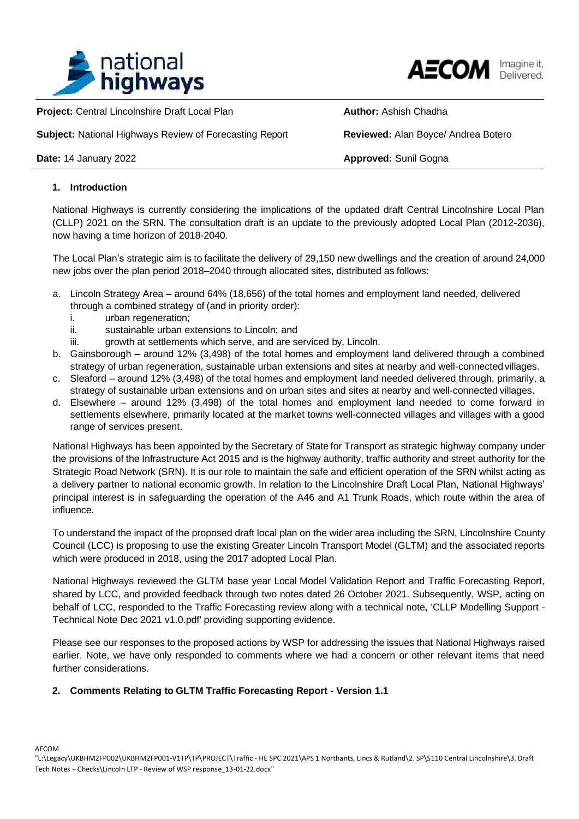



**Project: Central Lincolnshire Draft Local Plan <b>Author: Author: Ashish Chadha Author:** Ashish Chadha

**Subject:** National Highways Review of Forecasting Report **Reviewed:** Alan Boyce/ Andrea Botero

**Date: 14 January 2022 Approved: Sunil Gogna** 

### **1. Introduction**

National Highways is currently considering the implications of the updated draft Central Lincolnshire Local Plan (CLLP) 2021 on the SRN. The consultation draft is an update to the previously adopted Local Plan (2012-2036), now having a time horizon of 2018-2040.

The Local Plan's strategic aim is to facilitate the delivery of 29,150 new dwellings and the creation of around 24,000 new jobs over the plan period 2018–2040 through allocated sites, distributed as follows:

- a. Lincoln Strategy Area around 64% (18,656) of the total homes and employment land needed, delivered through a combined strategy of (and in priority order):
	- i. urban regeneration;
	- ii. sustainable urban extensions to Lincoln; and
	- iii. growth at settlements which serve, and are serviced by, Lincoln.
- b. Gainsborough around 12% (3,498) of the total homes and employment land delivered through a combined strategy of urban regeneration, sustainable urban extensions and sites at nearby and well-connected villages.
- c. Sleaford around 12% (3,498) of the total homes and employment land needed delivered through, primarily, a strategy of sustainable urban extensions and on urban sites and sites at nearby and well-connected villages.
- d. Elsewhere around 12% (3,498) of the total homes and employment land needed to come forward in settlements elsewhere, primarily located at the market towns well-connected villages and villages with a good range of services present.

National Highways has been appointed by the Secretary of State for Transport as strategic highway company under the provisions of the Infrastructure Act 2015 and is the highway authority, traffic authority and street authority for the Strategic Road Network (SRN). It is our role to maintain the safe and efficient operation of the SRN whilst acting as a delivery partner to national economic growth. In relation to the Lincolnshire Draft Local Plan, National Highways' principal interest is in safeguarding the operation of the A46 and A1 Trunk Roads, which route within the area of influence.

To understand the impact of the proposed draft local plan on the wider area including the SRN, Lincolnshire County Council (LCC) is proposing to use the existing Greater Lincoln Transport Model (GLTM) and the associated reports which were produced in 2018, using the 2017 adopted Local Plan.

National Highways reviewed the GLTM base year Local Model Validation Report and Traffic Forecasting Report, shared by LCC, and provided feedback through two notes dated 26 October 2021. Subsequently, WSP, acting on behalf of LCC, responded to the Traffic Forecasting review along with a technical note, 'CLLP Modelling Support - Technical Note Dec 2021 v1.0.pdf' providing supporting evidence.

Please see our responses to the proposed actions by WSP for addressing the issues that National Highways raised earlier. Note, we have only responded to comments where we had a concern or other relevant items that need further considerations.

### **2. Comments Relating to GLTM Traffic Forecasting Report - Version 1.1**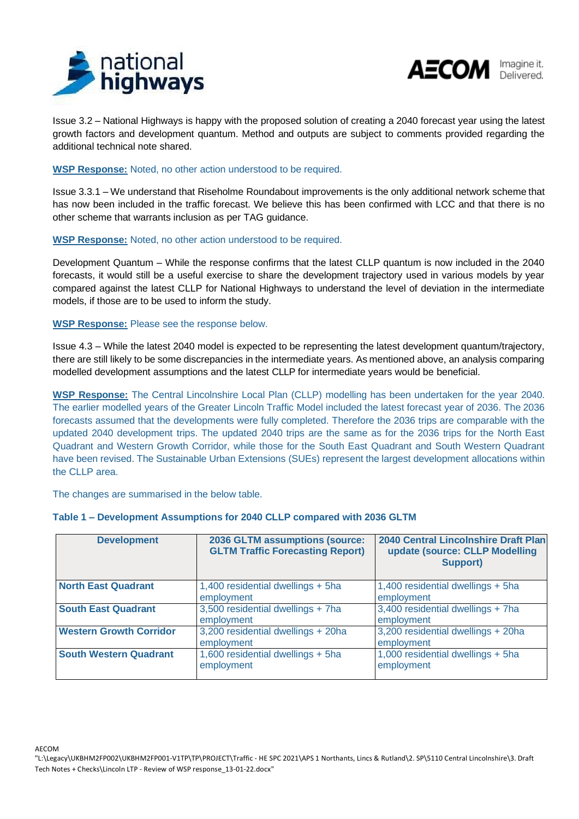



Issue 3.2 – National Highways is happy with the proposed solution of creating a 2040 forecast year using the latest growth factors and development quantum. Method and outputs are subject to comments provided regarding the additional technical note shared.

### **WSP Response:** Noted, no other action understood to be required.

Issue 3.3.1 – We understand that Riseholme Roundabout improvements is the only additional network scheme that has now been included in the traffic forecast. We believe this has been confirmed with LCC and that there is no other scheme that warrants inclusion as per TAG guidance.

### **WSP Response:** Noted, no other action understood to be required.

Development Quantum – While the response confirms that the latest CLLP quantum is now included in the 2040 forecasts, it would still be a useful exercise to share the development trajectory used in various models by year compared against the latest CLLP for National Highways to understand the level of deviation in the intermediate models, if those are to be used to inform the study.

### **WSP Response:** Please see the response below.

Issue 4.3 – While the latest 2040 model is expected to be representing the latest development quantum/trajectory, there are still likely to be some discrepancies in the intermediate years. As mentioned above, an analysis comparing modelled development assumptions and the latest CLLP for intermediate years would be beneficial.

**WSP Response:** The Central Lincolnshire Local Plan (CLLP) modelling has been undertaken for the year 2040. The earlier modelled years of the Greater Lincoln Traffic Model included the latest forecast year of 2036. The 2036 forecasts assumed that the developments were fully completed. Therefore the 2036 trips are comparable with the updated 2040 development trips. The updated 2040 trips are the same as for the 2036 trips for the North East Quadrant and Western Growth Corridor, while those for the South East Quadrant and South Western Quadrant have been revised. The Sustainable Urban Extensions (SUEs) represent the largest development allocations within the CLLP area.

The changes are summarised in the below table.

### **Table 1 – Development Assumptions for 2040 CLLP compared with 2036 GLTM**

| <b>Development</b>             | 2036 GLTM assumptions (source:<br><b>GLTM Traffic Forecasting Report)</b> | 2040 Central Lincolnshire Draft Plan<br>update (source: CLLP Modelling<br><b>Support)</b> |
|--------------------------------|---------------------------------------------------------------------------|-------------------------------------------------------------------------------------------|
| <b>North East Quadrant</b>     | 1,400 residential dwellings + 5ha<br>employment                           | 1,400 residential dwellings + 5ha<br>employment                                           |
| <b>South East Quadrant</b>     | 3,500 residential dwellings + 7ha<br>employment                           | 3,400 residential dwellings + 7ha<br>employment                                           |
| <b>Western Growth Corridor</b> | 3,200 residential dwellings + 20ha<br>employment                          | 3,200 residential dwellings + 20ha<br>employment                                          |
| <b>South Western Quadrant</b>  | 1,600 residential dwellings + 5ha<br>employment                           | 1,000 residential dwellings + 5ha<br>employment                                           |

<sup>&</sup>quot;L:\Legacy\UKBHM2FP002\UKBHM2FP001-V1TP\TP\PROJECT\Traffic - HE SPC 2021\APS 1 Northants, Lincs & Rutland\2. SP\5110 Central Lincolnshire\3. Draft Tech Notes + Checks\Lincoln LTP - Review of WSP response\_13-01-22.docx"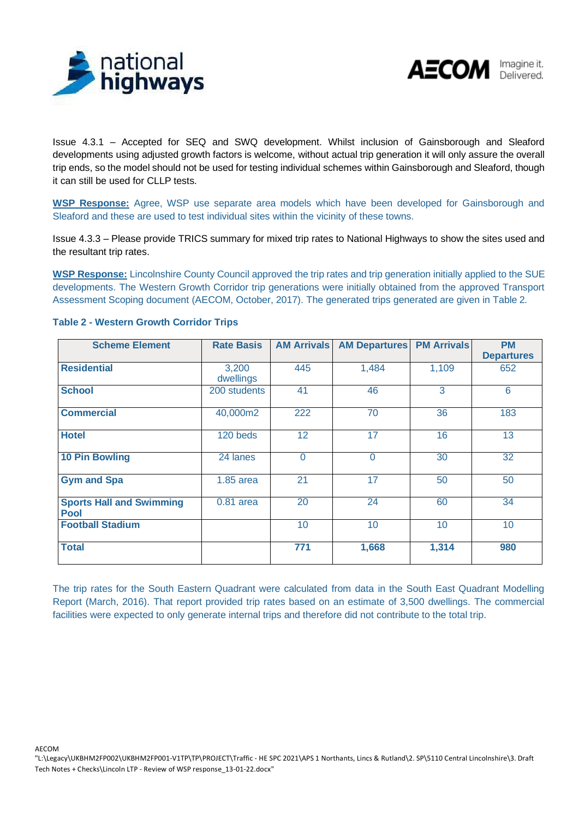



Issue 4.3.1 – Accepted for SEQ and SWQ development. Whilst inclusion of Gainsborough and Sleaford developments using adjusted growth factors is welcome, without actual trip generation it will only assure the overall trip ends, so the model should not be used for testing individual schemes within Gainsborough and Sleaford, though it can still be used for CLLP tests.

**WSP Response:** Agree, WSP use separate area models which have been developed for Gainsborough and Sleaford and these are used to test individual sites within the vicinity of these towns.

Issue 4.3.3 – Please provide TRICS summary for mixed trip rates to National Highways to show the sites used and the resultant trip rates.

**WSP Response:** Lincolnshire County Council approved the trip rates and trip generation initially applied to the SUE developments. The Western Growth Corridor trip generations were initially obtained from the approved Transport Assessment Scoping document (AECOM, October, 2017). The generated trips generated are given in Table 2.

| <b>Scheme Element</b>                          | <b>Rate Basis</b>  | <b>AM Arrivals</b> | <b>AM Departures</b> | <b>PM Arrivals</b> | <b>PM</b><br><b>Departures</b> |
|------------------------------------------------|--------------------|--------------------|----------------------|--------------------|--------------------------------|
| <b>Residential</b>                             | 3,200<br>dwellings | 445                | 1,484                | 1,109              | 652                            |
| <b>School</b>                                  | 200 students       | 41                 | 46                   | 3                  | 6                              |
| <b>Commercial</b>                              | 40,000m2           | 222                | 70                   | 36                 | 183                            |
| <b>Hotel</b>                                   | 120 beds           | 12                 | 17                   | 16                 | 13                             |
| <b>10 Pin Bowling</b>                          | 24 lanes           | $\overline{0}$     | $\Omega$             | 30                 | 32                             |
| <b>Gym and Spa</b>                             | $1.85$ area        | 21                 | 17                   | 50                 | 50                             |
| <b>Sports Hall and Swimming</b><br><b>Pool</b> | $0.81$ area        | 20                 | 24                   | 60                 | 34                             |
| <b>Football Stadium</b>                        |                    | 10                 | 10                   | 10 <sup>°</sup>    | 10                             |
| <b>Total</b>                                   |                    | 771                | 1,668                | 1,314              | 980                            |

### **Table 2 - Western Growth Corridor Trips**

The trip rates for the South Eastern Quadrant were calculated from data in the South East Quadrant Modelling Report (March, 2016). That report provided trip rates based on an estimate of 3,500 dwellings. The commercial facilities were expected to only generate internal trips and therefore did not contribute to the total trip.

<sup>&</sup>quot;L:\Legacy\UKBHM2FP002\UKBHM2FP001-V1TP\TP\PROJECT\Traffic - HE SPC 2021\APS 1 Northants, Lincs & Rutland\2. SP\5110 Central Lincolnshire\3. Draft Tech Notes + Checks\Lincoln LTP - Review of WSP response\_13-01-22.docx"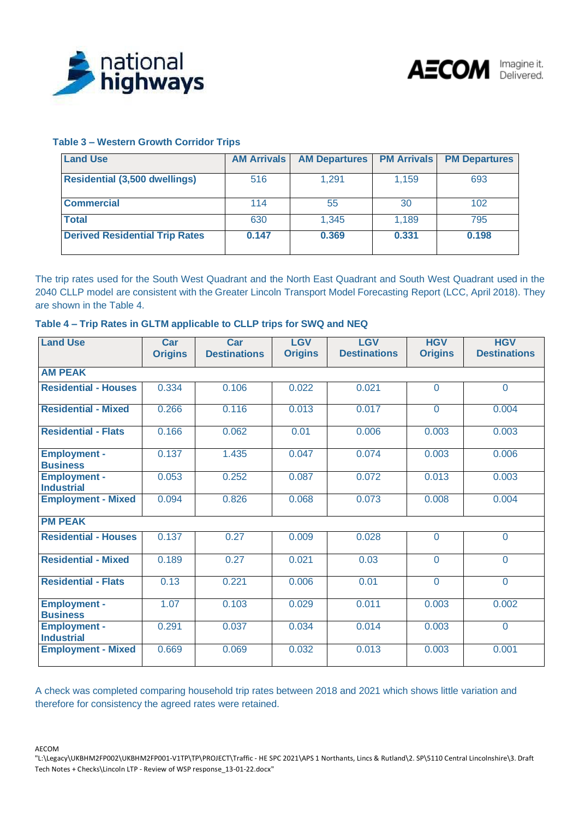



### **Table 3 – Western Growth Corridor Trips**

| <b>Land Use</b>                       | <b>AM Arrivals</b> | <b>AM Departures</b> | <b>PM Arrivals</b> | <b>PM Departures</b> |
|---------------------------------------|--------------------|----------------------|--------------------|----------------------|
| <b>Residential (3,500 dwellings)</b>  | 516                | 1.291                | 1.159              | 693                  |
| <b>Commercial</b>                     | 114                | 55                   | 30                 | 102                  |
| <b>Total</b>                          | 630                | 1.345                | 1.189              | 795                  |
| <b>Derived Residential Trip Rates</b> | 0.147              | 0.369                | 0.331              | 0.198                |

The trip rates used for the South West Quadrant and the North East Quadrant and South West Quadrant used in the 2040 CLLP model are consistent with the Greater Lincoln Transport Model Forecasting Report (LCC, April 2018). They are shown in the Table 4.

| <b>Land Use</b>                          | Car<br><b>Origins</b> | Car<br><b>Destinations</b> | <b>LGV</b><br><b>Origins</b> | <b>LGV</b><br><b>Destinations</b> | <b>HGV</b><br><b>Origins</b> | <b>HGV</b><br><b>Destinations</b> |
|------------------------------------------|-----------------------|----------------------------|------------------------------|-----------------------------------|------------------------------|-----------------------------------|
| <b>AM PEAK</b>                           |                       |                            |                              |                                   |                              |                                   |
| <b>Residential - Houses</b>              | 0.334                 | 0.106                      | 0.022                        | 0.021                             | $\overline{0}$               | $\overline{0}$                    |
| <b>Residential - Mixed</b>               | 0.266                 | 0.116                      | 0.013                        | 0.017                             | $\Omega$                     | 0.004                             |
| <b>Residential - Flats</b>               | 0.166                 | 0.062                      | 0.01                         | 0.006                             | 0.003                        | 0.003                             |
| <b>Employment -</b><br><b>Business</b>   | 0.137                 | 1.435                      | 0.047                        | 0.074                             | 0.003                        | 0.006                             |
| <b>Employment -</b><br><b>Industrial</b> | 0.053                 | 0.252                      | 0.087                        | 0.072                             | 0.013                        | 0.003                             |
| <b>Employment - Mixed</b>                | 0.094                 | 0.826                      | 0.068                        | 0.073                             | 0.008                        | 0.004                             |
| <b>PM PEAK</b>                           |                       |                            |                              |                                   |                              |                                   |
| <b>Residential - Houses</b>              | 0.137                 | 0.27                       | 0.009                        | 0.028                             | $\overline{0}$               | $\overline{0}$                    |
| <b>Residential - Mixed</b>               | 0.189                 | 0.27                       | 0.021                        | 0.03                              | $\overline{0}$               | $\Omega$                          |
| <b>Residential - Flats</b>               | 0.13                  | 0.221                      | 0.006                        | 0.01                              | $\overline{0}$               | $\overline{0}$                    |
| <b>Employment -</b><br><b>Business</b>   | 1.07                  | 0.103                      | 0.029                        | 0.011                             | 0.003                        | 0.002                             |
| <b>Employment -</b><br><b>Industrial</b> | 0.291                 | 0.037                      | 0.034                        | 0.014                             | 0.003                        | $\overline{0}$                    |
| <b>Employment - Mixed</b>                | 0.669                 | 0.069                      | 0.032                        | 0.013                             | 0.003                        | 0.001                             |

A check was completed comparing household trip rates between 2018 and 2021 which shows little variation and therefore for consistency the agreed rates were retained.

<sup>&</sup>quot;L:\Legacy\UKBHM2FP002\UKBHM2FP001-V1TP\TP\PROJECT\Traffic - HE SPC 2021\APS 1 Northants, Lincs & Rutland\2. SP\5110 Central Lincolnshire\3. Draft Tech Notes + Checks\Lincoln LTP - Review of WSP response\_13-01-22.docx"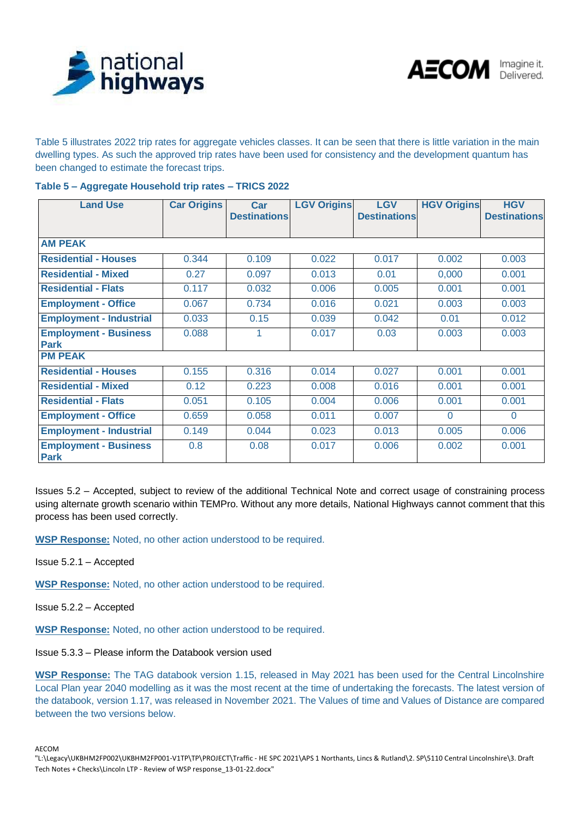



Table 5 illustrates 2022 trip rates for aggregate vehicles classes. It can be seen that there is little variation in the main dwelling types. As such the approved trip rates have been used for consistency and the development quantum has been changed to estimate the forecast trips.

|  | Table 5 - Aggregate Household trip rates - TRICS 2022 |  |  |
|--|-------------------------------------------------------|--|--|
|  |                                                       |  |  |

| <b>Land Use</b>                             | <b>Car Origins</b> | <b>Car</b><br><b>Destinations</b> | <b>LGV Origins</b> | <b>LGV</b><br><b>Destinations</b> | <b>HGV Origins</b> | <b>HGV</b><br><b>Destinations</b> |  |  |
|---------------------------------------------|--------------------|-----------------------------------|--------------------|-----------------------------------|--------------------|-----------------------------------|--|--|
| <b>AM PEAK</b>                              |                    |                                   |                    |                                   |                    |                                   |  |  |
| <b>Residential - Houses</b>                 | 0.344              | 0.109                             | 0.022              | 0.017                             | 0.002              | 0.003                             |  |  |
| <b>Residential - Mixed</b>                  | 0.27               | 0.097                             | 0.013              | 0.01                              | 0,000              | 0.001                             |  |  |
| <b>Residential - Flats</b>                  | 0.117              | 0.032                             | 0.006              | 0.005                             | 0.001              | 0.001                             |  |  |
| <b>Employment - Office</b>                  | 0.067              | 0.734                             | 0.016              | 0.021                             | 0.003              | 0.003                             |  |  |
| <b>Employment - Industrial</b>              | 0.033              | 0.15                              | 0.039              | 0.042                             | 0.01               | 0.012                             |  |  |
| <b>Employment - Business</b><br><b>Park</b> | 0.088              | 1                                 | 0.017              | 0.03                              | 0.003              | 0.003                             |  |  |
| <b>PM PEAK</b>                              |                    |                                   |                    |                                   |                    |                                   |  |  |
| <b>Residential - Houses</b>                 | 0.155              | 0.316                             | 0.014              | 0.027                             | 0.001              | 0.001                             |  |  |
| <b>Residential - Mixed</b>                  | 0.12               | 0.223                             | 0.008              | 0.016                             | 0.001              | 0.001                             |  |  |
| <b>Residential - Flats</b>                  | 0.051              | 0.105                             | 0.004              | 0.006                             | 0.001              | 0.001                             |  |  |
| <b>Employment - Office</b>                  | 0.659              | 0.058                             | 0.011              | 0.007                             | $\Omega$           | $\Omega$                          |  |  |
| <b>Employment - Industrial</b>              | 0.149              | 0.044                             | 0.023              | 0.013                             | 0.005              | 0.006                             |  |  |
| <b>Employment - Business</b><br><b>Park</b> | 0.8                | 0.08                              | 0.017              | 0.006                             | 0.002              | 0.001                             |  |  |

Issues 5.2 – Accepted, subject to review of the additional Technical Note and correct usage of constraining process using alternate growth scenario within TEMPro. Without any more details, National Highways cannot comment that this process has been used correctly.

**WSP Response:** Noted, no other action understood to be required.

Issue 5.2.1 – Accepted

**WSP Response:** Noted, no other action understood to be required.

Issue 5.2.2 – Accepted

**WSP Response:** Noted, no other action understood to be required.

Issue 5.3.3 – Please inform the Databook version used

**WSP Response:** The TAG databook version 1.15, released in May 2021 has been used for the Central Lincolnshire Local Plan year 2040 modelling as it was the most recent at the time of undertaking the forecasts. The latest version of the databook, version 1.17, was released in November 2021. The Values of time and Values of Distance are compared between the two versions below.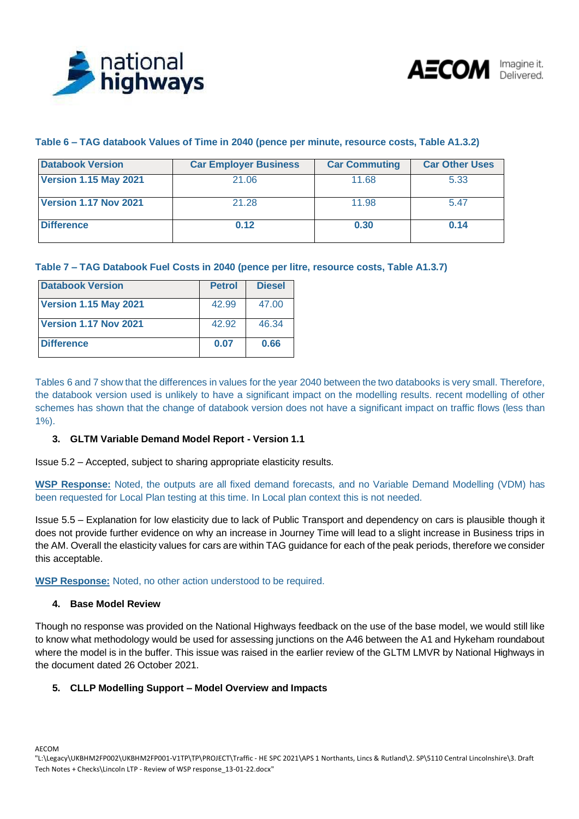



### **Table 6 – TAG databook Values of Time in 2040 (pence per minute, resource costs, Table A1.3.2)**

| <b>Databook Version</b>      | <b>Car Employer Business</b> | <b>Car Commuting</b> | <b>Car Other Uses</b> |  |  |
|------------------------------|------------------------------|----------------------|-----------------------|--|--|
| <b>Version 1.15 May 2021</b> | 21.06                        | 11.68                | 5.33                  |  |  |
| Version 1.17 Nov 2021        | 21.28                        | 11.98                | 5.47                  |  |  |
| <b>Difference</b>            | 0.12                         | 0.30                 | 0.14                  |  |  |

### **Table 7 – TAG Databook Fuel Costs in 2040 (pence per litre, resource costs, Table A1.3.7)**

| <b>Databook Version</b>      | <b>Petrol</b> | <b>Diesel</b> |
|------------------------------|---------------|---------------|
| <b>Version 1.15 May 2021</b> | 42.99         | 47.00         |
| <b>Version 1.17 Nov 2021</b> | 42.92         | 46.34         |
| <b>Difference</b>            | 0.07          | 0.66          |

Tables 6 and 7 show that the differences in values for the year 2040 between the two databooks is very small. Therefore, the databook version used is unlikely to have a significant impact on the modelling results. recent modelling of other schemes has shown that the change of databook version does not have a significant impact on traffic flows (less than 1%).

### **3. GLTM Variable Demand Model Report - Version 1.1**

Issue 5.2 – Accepted, subject to sharing appropriate elasticity results.

**WSP Response:** Noted, the outputs are all fixed demand forecasts, and no Variable Demand Modelling (VDM) has been requested for Local Plan testing at this time. In Local plan context this is not needed.

Issue 5.5 – Explanation for low elasticity due to lack of Public Transport and dependency on cars is plausible though it does not provide further evidence on why an increase in Journey Time will lead to a slight increase in Business trips in the AM. Overall the elasticity values for cars are within TAG guidance for each of the peak periods, therefore we consider this acceptable.

**WSP Response:** Noted, no other action understood to be required.

#### **4. Base Model Review**

Though no response was provided on the National Highways feedback on the use of the base model, we would still like to know what methodology would be used for assessing junctions on the A46 between the A1 and Hykeham roundabout where the model is in the buffer. This issue was raised in the earlier review of the GLTM LMVR by National Highways in the document dated 26 October 2021.

### **5. CLLP Modelling Support – Model Overview and Impacts**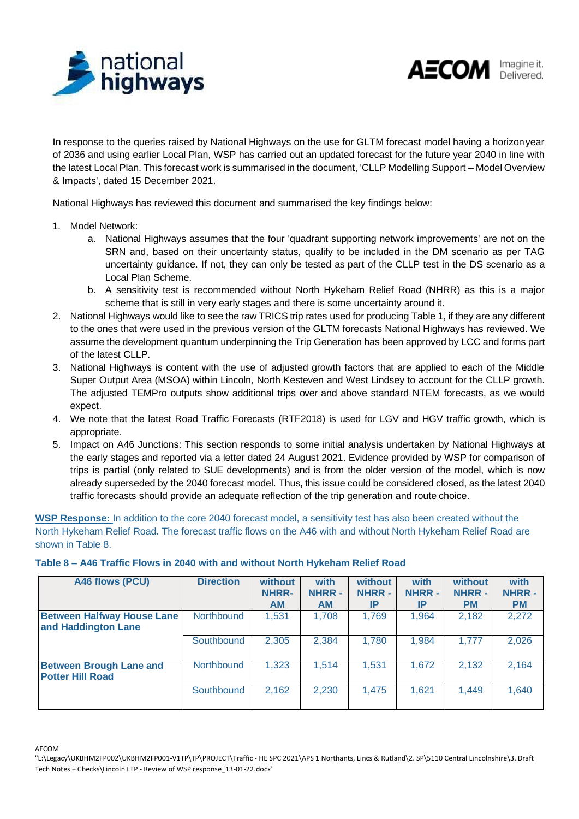



In response to the queries raised by National Highways on the use for GLTM forecast model having a horizonyear of 2036 and using earlier Local Plan, WSP has carried out an updated forecast for the future year 2040 in line with the latest Local Plan. This forecast work is summarised in the document, 'CLLP Modelling Support – Model Overview & Impacts', dated 15 December 2021.

National Highways has reviewed this document and summarised the key findings below:

- 1. Model Network:
	- a. National Highways assumes that the four 'quadrant supporting network improvements' are not on the SRN and, based on their uncertainty status, qualify to be included in the DM scenario as per TAG uncertainty guidance. If not, they can only be tested as part of the CLLP test in the DS scenario as a Local Plan Scheme.
	- b. A sensitivity test is recommended without North Hykeham Relief Road (NHRR) as this is a major scheme that is still in very early stages and there is some uncertainty around it.
- 2. National Highways would like to see the raw TRICS trip rates used for producing Table 1, if they are any different to the ones that were used in the previous version of the GLTM forecasts National Highways has reviewed. We assume the development quantum underpinning the Trip Generation has been approved by LCC and forms part of the latest CLLP.
- 3. National Highways is content with the use of adjusted growth factors that are applied to each of the Middle Super Output Area (MSOA) within Lincoln, North Kesteven and West Lindsey to account for the CLLP growth. The adjusted TEMPro outputs show additional trips over and above standard NTEM forecasts, as we would expect.
- 4. We note that the latest Road Traffic Forecasts (RTF2018) is used for LGV and HGV traffic growth, which is appropriate.
- 5. Impact on A46 Junctions: This section responds to some initial analysis undertaken by National Highways at the early stages and reported via a letter dated 24 August 2021. Evidence provided by WSP for comparison of trips is partial (only related to SUE developments) and is from the older version of the model, which is now already superseded by the 2040 forecast model. Thus, this issue could be considered closed, as the latest 2040 traffic forecasts should provide an adequate reflection of the trip generation and route choice.

**WSP Response:** In addition to the core 2040 forecast model, a sensitivity test has also been created without the North Hykeham Relief Road. The forecast traffic flows on the A46 with and without North Hykeham Relief Road are shown in Table 8.

**Table 8 – A46 Traffic Flows in 2040 with and without North Hykeham Relief Road**

| A46 flows (PCU)                                           | <b>Direction</b> | without<br>NHRR-<br><b>AM</b> | with<br><b>NHRR -</b><br><b>AM</b> | without<br><b>NHRR -</b><br>IP | with<br><b>NHRR-</b><br><b>IP</b> | without<br><b>NHRR-</b><br><b>PM</b> | with<br><b>NHRR-</b><br><b>PM</b> |
|-----------------------------------------------------------|------------------|-------------------------------|------------------------------------|--------------------------------|-----------------------------------|--------------------------------------|-----------------------------------|
| <b>Between Halfway House Lane</b><br>and Haddington Lane  | Northbound       | 1,531                         | 1,708                              | 1,769                          | 1,964                             | 2,182                                | 2,272                             |
|                                                           | Southbound       | 2,305                         | 2,384                              | 1,780                          | 1,984                             | 1,777                                | 2,026                             |
| <b>Between Brough Lane and</b><br><b>Potter Hill Road</b> | Northbound       | 1,323                         | 1,514                              | 1,531                          | 1,672                             | 2,132                                | 2,164                             |
|                                                           | Southbound       | 2,162                         | 2,230                              | 1,475                          | 1,621                             | 1.449                                | 1,640                             |

<sup>&</sup>quot;L:\Legacy\UKBHM2FP002\UKBHM2FP001-V1TP\TP\PROJECT\Traffic - HE SPC 2021\APS 1 Northants, Lincs & Rutland\2. SP\5110 Central Lincolnshire\3. Draft Tech Notes + Checks\Lincoln LTP - Review of WSP response\_13-01-22.docx"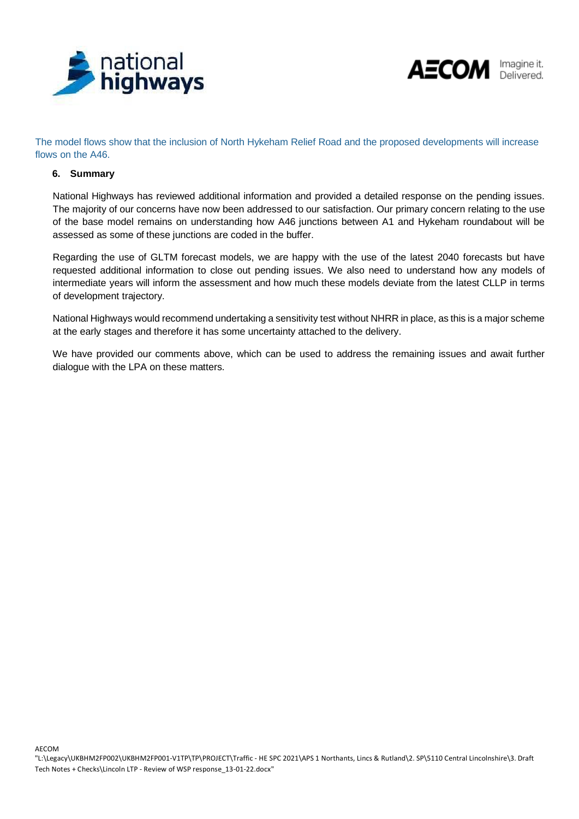



The model flows show that the inclusion of North Hykeham Relief Road and the proposed developments will increase flows on the A46.

### **6. Summary**

National Highways has reviewed additional information and provided a detailed response on the pending issues. The majority of our concerns have now been addressed to our satisfaction. Our primary concern relating to the use of the base model remains on understanding how A46 junctions between A1 and Hykeham roundabout will be assessed as some of these junctions are coded in the buffer.

Regarding the use of GLTM forecast models, we are happy with the use of the latest 2040 forecasts but have requested additional information to close out pending issues. We also need to understand how any models of intermediate years will inform the assessment and how much these models deviate from the latest CLLP in terms of development trajectory.

National Highways would recommend undertaking a sensitivity test without NHRR in place, as this is a major scheme at the early stages and therefore it has some uncertainty attached to the delivery.

We have provided our comments above, which can be used to address the remaining issues and await further dialogue with the LPA on these matters.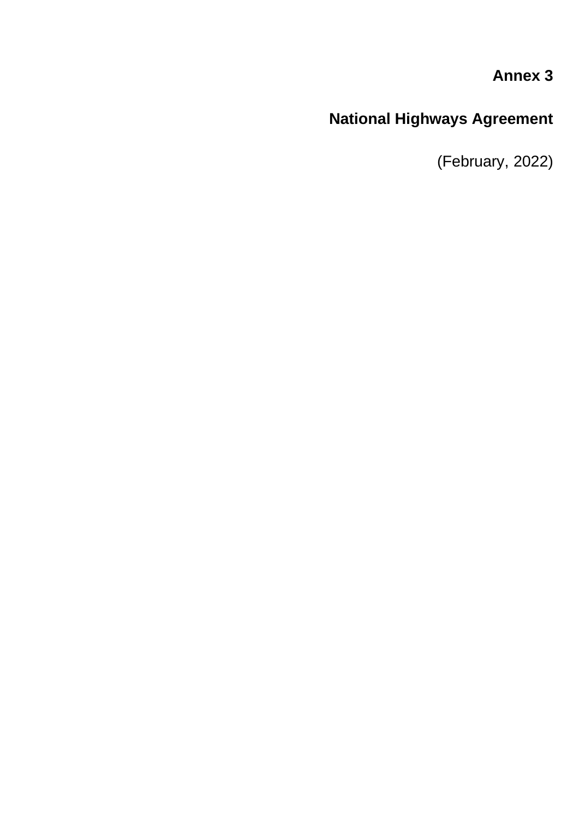# **Annex 3**

# **National Highways Agreement**

(February, 2022)